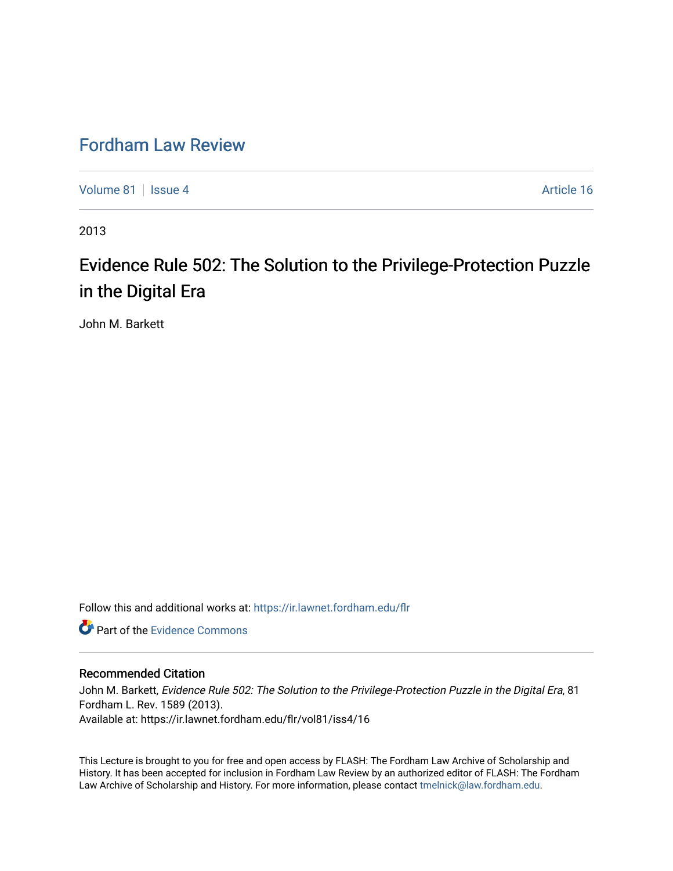## [Fordham Law Review](https://ir.lawnet.fordham.edu/flr)

[Volume 81](https://ir.lawnet.fordham.edu/flr/vol81) | [Issue 4](https://ir.lawnet.fordham.edu/flr/vol81/iss4) Article 16

2013

# Evidence Rule 502: The Solution to the Privilege-Protection Puzzle in the Digital Era

John M. Barkett

Follow this and additional works at: [https://ir.lawnet.fordham.edu/flr](https://ir.lawnet.fordham.edu/flr?utm_source=ir.lawnet.fordham.edu%2Fflr%2Fvol81%2Fiss4%2F16&utm_medium=PDF&utm_campaign=PDFCoverPages)

**C** Part of the Evidence Commons

#### Recommended Citation

John M. Barkett, Evidence Rule 502: The Solution to the Privilege-Protection Puzzle in the Digital Era, 81 Fordham L. Rev. 1589 (2013). Available at: https://ir.lawnet.fordham.edu/flr/vol81/iss4/16

This Lecture is brought to you for free and open access by FLASH: The Fordham Law Archive of Scholarship and History. It has been accepted for inclusion in Fordham Law Review by an authorized editor of FLASH: The Fordham Law Archive of Scholarship and History. For more information, please contact [tmelnick@law.fordham.edu](mailto:tmelnick@law.fordham.edu).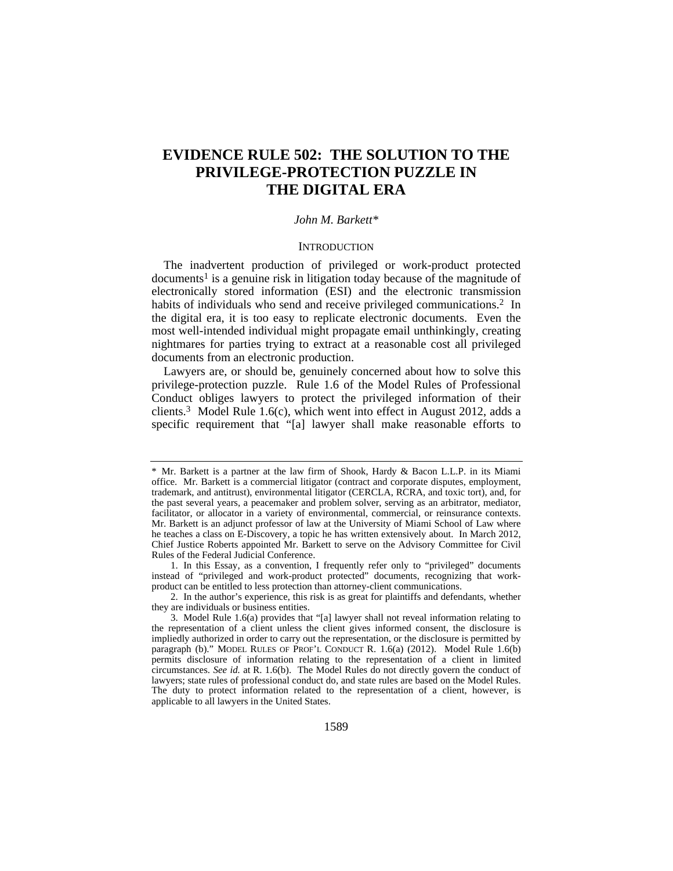### **EVIDENCE RULE 502: THE SOLUTION TO THE PRIVILEGE-PROTECTION PUZZLE IN THE DIGITAL ERA**

#### *John M. Barkett\**

#### **INTRODUCTION**

The inadvertent production of privileged or work-product protected  $d$ ocuments<sup>1</sup> is a genuine risk in litigation today because of the magnitude of electronically stored information (ESI) and the electronic transmission habits of individuals who send and receive privileged communications.<sup>2</sup> In the digital era, it is too easy to replicate electronic documents. Even the most well-intended individual might propagate email unthinkingly, creating nightmares for parties trying to extract at a reasonable cost all privileged documents from an electronic production.

Lawyers are, or should be, genuinely concerned about how to solve this privilege-protection puzzle. Rule 1.6 of the Model Rules of Professional Conduct obliges lawyers to protect the privileged information of their clients.3 Model Rule 1.6(c), which went into effect in August 2012, adds a specific requirement that "[a] lawyer shall make reasonable efforts to

<sup>\*</sup> Mr. Barkett is a partner at the law firm of Shook, Hardy & Bacon L.L.P. in its Miami office. Mr. Barkett is a commercial litigator (contract and corporate disputes, employment, trademark, and antitrust), environmental litigator (CERCLA, RCRA, and toxic tort), and, for the past several years, a peacemaker and problem solver, serving as an arbitrator, mediator, facilitator, or allocator in a variety of environmental, commercial, or reinsurance contexts. Mr. Barkett is an adjunct professor of law at the University of Miami School of Law where he teaches a class on E-Discovery, a topic he has written extensively about. In March 2012, Chief Justice Roberts appointed Mr. Barkett to serve on the Advisory Committee for Civil Rules of the Federal Judicial Conference.

 <sup>1.</sup> In this Essay, as a convention, I frequently refer only to "privileged" documents instead of "privileged and work-product protected" documents, recognizing that workproduct can be entitled to less protection than attorney-client communications.

 <sup>2.</sup> In the author's experience, this risk is as great for plaintiffs and defendants, whether they are individuals or business entities.

 <sup>3.</sup> Model Rule 1.6(a) provides that "[a] lawyer shall not reveal information relating to the representation of a client unless the client gives informed consent, the disclosure is impliedly authorized in order to carry out the representation, or the disclosure is permitted by paragraph (b)." MODEL RULES OF PROF'L CONDUCT R. 1.6(a) (2012). Model Rule 1.6(b) permits disclosure of information relating to the representation of a client in limited circumstances. *See id.* at R. 1.6(b). The Model Rules do not directly govern the conduct of lawyers; state rules of professional conduct do, and state rules are based on the Model Rules. The duty to protect information related to the representation of a client, however, is applicable to all lawyers in the United States.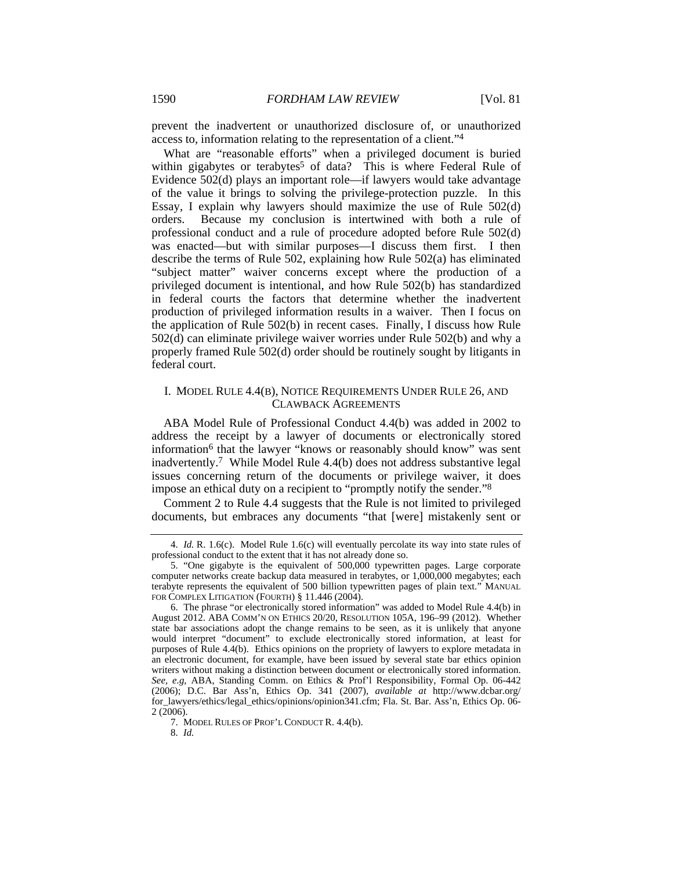prevent the inadvertent or unauthorized disclosure of, or unauthorized access to, information relating to the representation of a client."4

What are "reasonable efforts" when a privileged document is buried within gigabytes or terabytes<sup>5</sup> of data? This is where Federal Rule of Evidence 502(d) plays an important role—if lawyers would take advantage of the value it brings to solving the privilege-protection puzzle. In this Essay, I explain why lawyers should maximize the use of Rule 502(d) orders. Because my conclusion is intertwined with both a rule of professional conduct and a rule of procedure adopted before Rule 502(d) was enacted—but with similar purposes—I discuss them first. I then describe the terms of Rule 502, explaining how Rule 502(a) has eliminated "subject matter" waiver concerns except where the production of a privileged document is intentional, and how Rule 502(b) has standardized in federal courts the factors that determine whether the inadvertent production of privileged information results in a waiver. Then I focus on the application of Rule 502(b) in recent cases. Finally, I discuss how Rule 502(d) can eliminate privilege waiver worries under Rule 502(b) and why a properly framed Rule 502(d) order should be routinely sought by litigants in federal court.

#### I. MODEL RULE 4.4(B), NOTICE REQUIREMENTS UNDER RULE 26, AND CLAWBACK AGREEMENTS

ABA Model Rule of Professional Conduct 4.4(b) was added in 2002 to address the receipt by a lawyer of documents or electronically stored information<sup>6</sup> that the lawyer "knows or reasonably should know" was sent inadvertently.7 While Model Rule 4.4(b) does not address substantive legal issues concerning return of the documents or privilege waiver, it does impose an ethical duty on a recipient to "promptly notify the sender."8

Comment 2 to Rule 4.4 suggests that the Rule is not limited to privileged documents, but embraces any documents "that [were] mistakenly sent or

 <sup>4.</sup> *Id.* R. 1.6(c). Model Rule 1.6(c) will eventually percolate its way into state rules of professional conduct to the extent that it has not already done so.

 <sup>5. &</sup>quot;One gigabyte is the equivalent of 500,000 typewritten pages. Large corporate computer networks create backup data measured in terabytes, or 1,000,000 megabytes; each terabyte represents the equivalent of 500 billion typewritten pages of plain text." MANUAL FOR COMPLEX LITIGATION (FOURTH) § 11.446 (2004).

 <sup>6.</sup> The phrase "or electronically stored information" was added to Model Rule 4.4(b) in August 2012. ABA COMM'N ON ETHICS 20/20, RESOLUTION 105A, 196–99 (2012). Whether state bar associations adopt the change remains to be seen, as it is unlikely that anyone would interpret "document" to exclude electronically stored information, at least for purposes of Rule 4.4(b). Ethics opinions on the propriety of lawyers to explore metadata in an electronic document, for example, have been issued by several state bar ethics opinion writers without making a distinction between document or electronically stored information. *See, e.g*, ABA, Standing Comm. on Ethics & Prof'l Responsibility, Formal Op. 06-442 (2006); D.C. Bar Ass'n, Ethics Op. 341 (2007), *available at* http://www.dcbar.org/ for\_lawyers/ethics/legal\_ethics/opinions/opinion341.cfm; Fla. St. Bar. Ass'n, Ethics Op. 06- 2 (2006).

 <sup>7.</sup> MODEL RULES OF PROF'L CONDUCT R. 4.4(b).

 <sup>8.</sup> *Id.*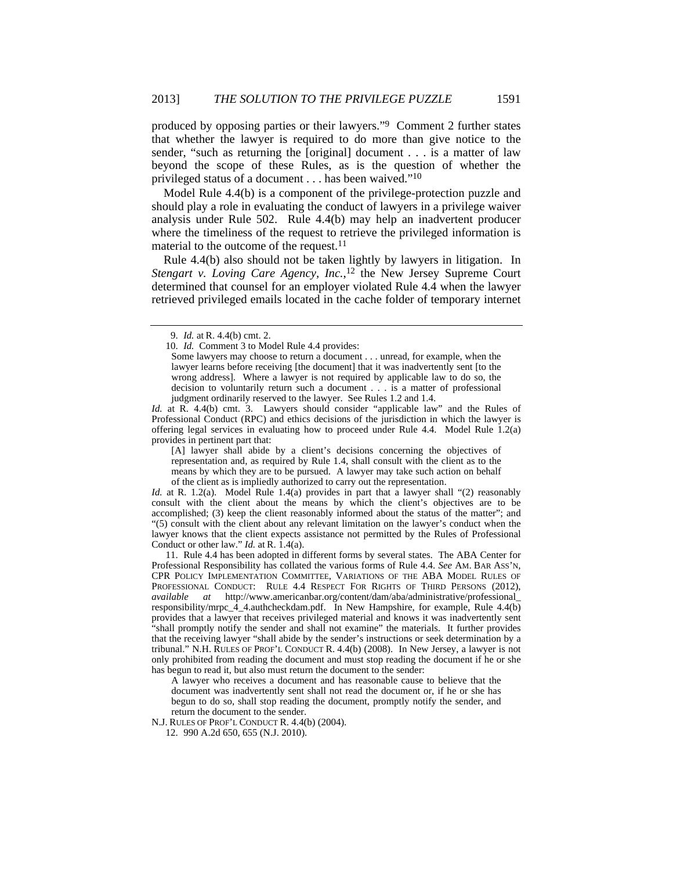produced by opposing parties or their lawyers."9 Comment 2 further states that whether the lawyer is required to do more than give notice to the sender, "such as returning the [original] document . . . is a matter of law beyond the scope of these Rules, as is the question of whether the privileged status of a document . . . has been waived."10

Model Rule 4.4(b) is a component of the privilege-protection puzzle and should play a role in evaluating the conduct of lawyers in a privilege waiver analysis under Rule 502. Rule 4.4(b) may help an inadvertent producer where the timeliness of the request to retrieve the privileged information is material to the outcome of the request.<sup>11</sup>

Rule 4.4(b) also should not be taken lightly by lawyers in litigation. In *Stengart v. Loving Care Agency, Inc.*, 12 the New Jersey Supreme Court determined that counsel for an employer violated Rule 4.4 when the lawyer retrieved privileged emails located in the cache folder of temporary internet

*Id.* at R. 4.4(b) cmt. 3. Lawyers should consider "applicable law" and the Rules of Professional Conduct (RPC) and ethics decisions of the jurisdiction in which the lawyer is offering legal services in evaluating how to proceed under Rule 4.4. Model Rule 1.2(a) provides in pertinent part that:

[A] lawyer shall abide by a client's decisions concerning the objectives of representation and, as required by Rule 1.4, shall consult with the client as to the means by which they are to be pursued. A lawyer may take such action on behalf of the client as is impliedly authorized to carry out the representation.

*Id.* at R. 1.2(a). Model Rule 1.4(a) provides in part that a lawyer shall "(2) reasonably consult with the client about the means by which the client's objectives are to be accomplished; (3) keep the client reasonably informed about the status of the matter"; and "(5) consult with the client about any relevant limitation on the lawyer's conduct when the lawyer knows that the client expects assistance not permitted by the Rules of Professional Conduct or other law." *Id.* at R. 1.4(a).

 11. Rule 4.4 has been adopted in different forms by several states. The ABA Center for Professional Responsibility has collated the various forms of Rule 4.4. *See* AM. BAR ASS'N, CPR POLICY IMPLEMENTATION COMMITTEE, VARIATIONS OF THE ABA MODEL RULES OF PROFESSIONAL CONDUCT: RULE 4.4 RESPECT FOR RIGHTS OF THIRD PERSONS (2012), *available at* http://www.americanbar.org/content/dam/aba/administrative/professional\_ responsibility/mrpc\_4\_4.authcheckdam.pdf. In New Hampshire, for example, Rule 4.4(b) provides that a lawyer that receives privileged material and knows it was inadvertently sent "shall promptly notify the sender and shall not examine" the materials. It further provides that the receiving lawyer "shall abide by the sender's instructions or seek determination by a tribunal." N.H. RULES OF PROF'L CONDUCT R. 4.4(b) (2008). In New Jersey, a lawyer is not only prohibited from reading the document and must stop reading the document if he or she has begun to read it, but also must return the document to the sender:

A lawyer who receives a document and has reasonable cause to believe that the document was inadvertently sent shall not read the document or, if he or she has begun to do so, shall stop reading the document, promptly notify the sender, and return the document to the sender.

N.J. RULES OF PROF'L CONDUCT R. 4.4(b) (2004).

 <sup>9.</sup> *Id.* at R. 4.4(b) cmt. 2.

 <sup>10.</sup> *Id.* Comment 3 to Model Rule 4.4 provides:

Some lawyers may choose to return a document . . . unread, for example, when the lawyer learns before receiving [the document] that it was inadvertently sent [to the wrong address]. Where a lawyer is not required by applicable law to do so, the decision to voluntarily return such a document . . . is a matter of professional judgment ordinarily reserved to the lawyer. See Rules 1.2 and 1.4.

 <sup>12. 990</sup> A.2d 650, 655 (N.J. 2010).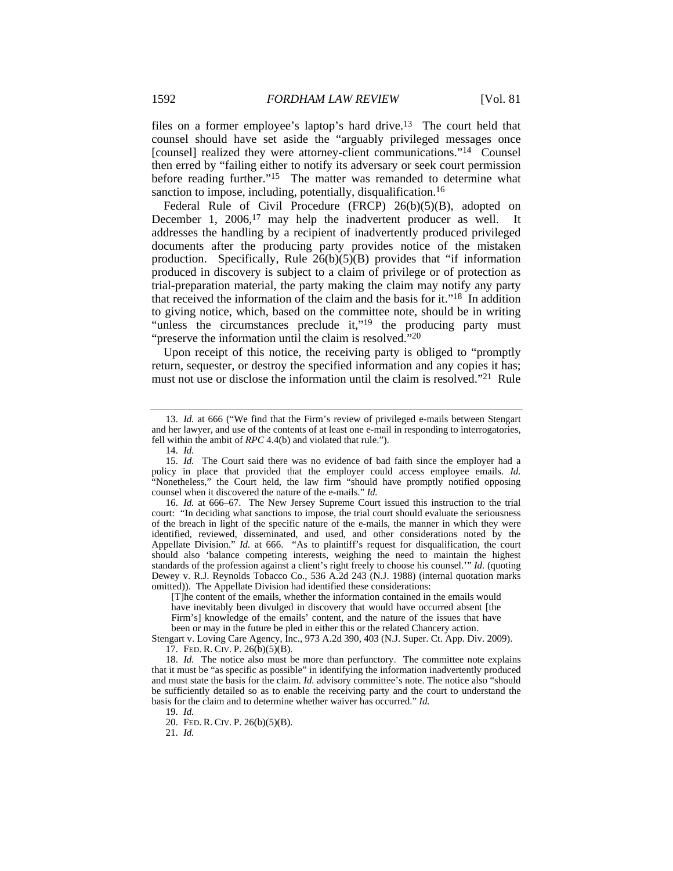files on a former employee's laptop's hard drive.13 The court held that counsel should have set aside the "arguably privileged messages once [counsel] realized they were attorney-client communications."<sup>14</sup> Counsel then erred by "failing either to notify its adversary or seek court permission before reading further."<sup>15</sup> The matter was remanded to determine what sanction to impose, including, potentially, disqualification.<sup>16</sup>

Federal Rule of Civil Procedure (FRCP) 26(b)(5)(B), adopted on December 1, 2006,<sup>17</sup> may help the inadvertent producer as well. It addresses the handling by a recipient of inadvertently produced privileged documents after the producing party provides notice of the mistaken production. Specifically, Rule  $26(b)(5)(B)$  provides that "if information produced in discovery is subject to a claim of privilege or of protection as trial-preparation material, the party making the claim may notify any party that received the information of the claim and the basis for it."18 In addition to giving notice, which, based on the committee note, should be in writing "unless the circumstances preclude it,"<sup>19</sup> the producing party must "preserve the information until the claim is resolved."<sup>20</sup>

Upon receipt of this notice, the receiving party is obliged to "promptly return, sequester, or destroy the specified information and any copies it has; must not use or disclose the information until the claim is resolved."21 Rule

 16. *Id.* at 666–67. The New Jersey Supreme Court issued this instruction to the trial court: "In deciding what sanctions to impose, the trial court should evaluate the seriousness of the breach in light of the specific nature of the e-mails, the manner in which they were identified, reviewed, disseminated, and used, and other considerations noted by the Appellate Division." *Id.* at 666. "As to plaintiff's request for disqualification, the court should also 'balance competing interests, weighing the need to maintain the highest standards of the profession against a client's right freely to choose his counsel.'" *Id.* (quoting Dewey v. R.J. Reynolds Tobacco Co., 536 A.2d 243 (N.J. 1988) (internal quotation marks omitted)). The Appellate Division had identified these considerations:

Stengart v. Loving Care Agency, Inc., 973 A.2d 390, 403 (N.J. Super. Ct. App. Div. 2009). 17. FED. R. CIV. P. 26(b)(5)(B).

 18. *Id.* The notice also must be more than perfunctory. The committee note explains that it must be "as specific as possible" in identifying the information inadvertently produced and must state the basis for the claim. *Id.* advisory committee's note. The notice also "should be sufficiently detailed so as to enable the receiving party and the court to understand the basis for the claim and to determine whether waiver has occurred." *Id.*

 <sup>13.</sup> *Id.* at 666 ("We find that the Firm's review of privileged e-mails between Stengart and her lawyer, and use of the contents of at least one e-mail in responding to interrogatories, fell within the ambit of *RPC* 4.4(b) and violated that rule.").

 <sup>14.</sup> *Id.*

 <sup>15.</sup> *Id.* The Court said there was no evidence of bad faith since the employer had a policy in place that provided that the employer could access employee emails. *Id.* "Nonetheless," the Court held, the law firm "should have promptly notified opposing counsel when it discovered the nature of the e-mails." *Id.*

<sup>[</sup>T]he content of the emails, whether the information contained in the emails would have inevitably been divulged in discovery that would have occurred absent [the Firm's] knowledge of the emails' content, and the nature of the issues that have been or may in the future be pled in either this or the related Chancery action.

 <sup>19.</sup> *Id.*

 <sup>20.</sup> FED. R. CIV. P. 26(b)(5)(B).

 <sup>21.</sup> *Id.*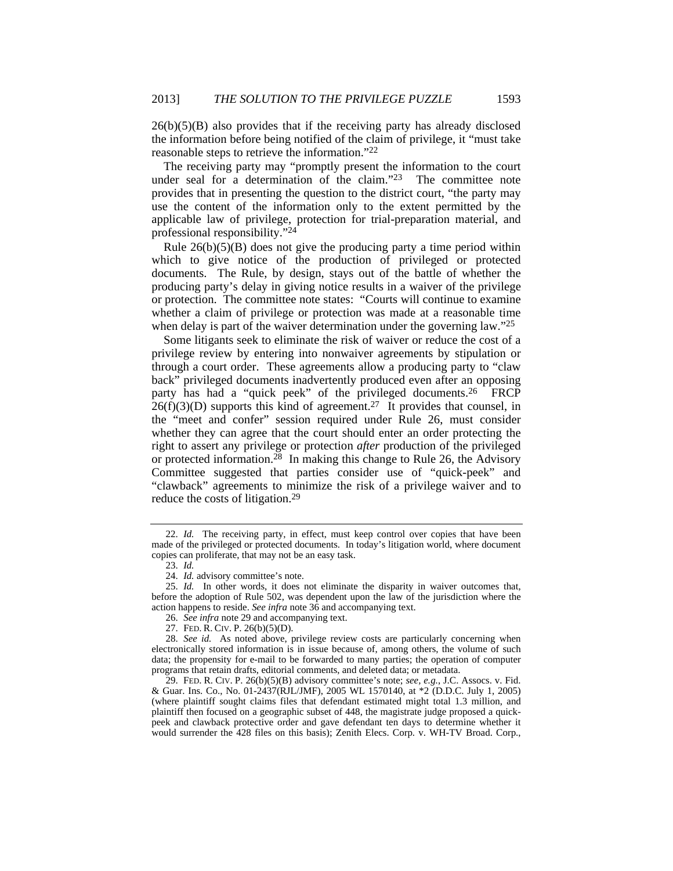$26(b)(5)(B)$  also provides that if the receiving party has already disclosed the information before being notified of the claim of privilege, it "must take reasonable steps to retrieve the information."22

The receiving party may "promptly present the information to the court under seal for a determination of the claim."<sup>23</sup> The committee note provides that in presenting the question to the district court, "the party may use the content of the information only to the extent permitted by the applicable law of privilege, protection for trial-preparation material, and professional responsibility."24

Rule  $26(b)(5)(B)$  does not give the producing party a time period within which to give notice of the production of privileged or protected documents. The Rule, by design, stays out of the battle of whether the producing party's delay in giving notice results in a waiver of the privilege or protection. The committee note states: "Courts will continue to examine whether a claim of privilege or protection was made at a reasonable time when delay is part of the waiver determination under the governing law."<sup>25</sup>

Some litigants seek to eliminate the risk of waiver or reduce the cost of a privilege review by entering into nonwaiver agreements by stipulation or through a court order. These agreements allow a producing party to "claw back" privileged documents inadvertently produced even after an opposing party has had a "quick peek" of the privileged documents.<sup>26</sup> FRCP  $26(f)(3)(D)$  supports this kind of agreement.<sup>27</sup> It provides that counsel, in the "meet and confer" session required under Rule 26, must consider whether they can agree that the court should enter an order protecting the right to assert any privilege or protection *after* production of the privileged or protected information.28 In making this change to Rule 26, the Advisory Committee suggested that parties consider use of "quick-peek" and "clawback" agreements to minimize the risk of a privilege waiver and to reduce the costs of litigation.29

 <sup>22.</sup> *Id.* The receiving party, in effect, must keep control over copies that have been made of the privileged or protected documents. In today's litigation world, where document copies can proliferate, that may not be an easy task.

 <sup>23.</sup> *Id.*

 <sup>24.</sup> *Id.* advisory committee's note.

 <sup>25.</sup> *Id.* In other words, it does not eliminate the disparity in waiver outcomes that, before the adoption of Rule 502, was dependent upon the law of the jurisdiction where the action happens to reside. *See infra* note 36 and accompanying text.

 <sup>26.</sup> *See infra* note 29 and accompanying text.

 <sup>27.</sup> FED. R. CIV. P. 26(b)(5)(D).

 <sup>28.</sup> *See id.* As noted above, privilege review costs are particularly concerning when electronically stored information is in issue because of, among others, the volume of such data; the propensity for e-mail to be forwarded to many parties; the operation of computer programs that retain drafts, editorial comments, and deleted data; or metadata.

<sup>29.</sup> FED. R. CIV. P. 26(b)(5)(B) advisory committee's note; *see, e.g.*, J.C. Assocs. v. Fid. & Guar. Ins. Co., No. 01-2437(RJL/JMF), 2005 WL 1570140, at \*2 (D.D.C. July 1, 2005) (where plaintiff sought claims files that defendant estimated might total 1.3 million, and plaintiff then focused on a geographic subset of 448, the magistrate judge proposed a quickpeek and clawback protective order and gave defendant ten days to determine whether it would surrender the 428 files on this basis); Zenith Elecs. Corp. v. WH-TV Broad. Corp.,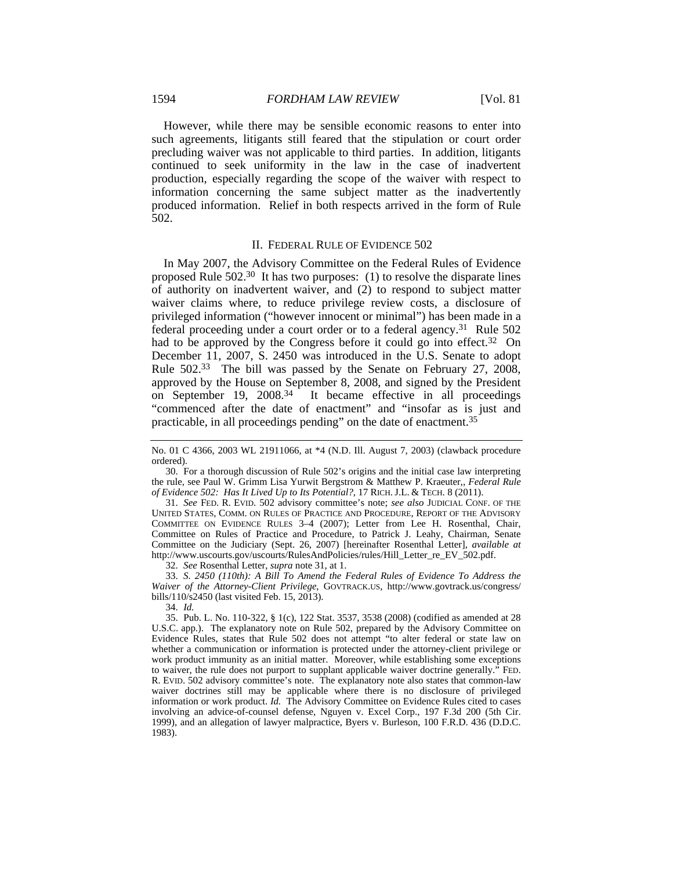However, while there may be sensible economic reasons to enter into such agreements, litigants still feared that the stipulation or court order precluding waiver was not applicable to third parties. In addition, litigants continued to seek uniformity in the law in the case of inadvertent production, especially regarding the scope of the waiver with respect to information concerning the same subject matter as the inadvertently produced information. Relief in both respects arrived in the form of Rule 502.

#### II. FEDERAL RULE OF EVIDENCE 502

In May 2007, the Advisory Committee on the Federal Rules of Evidence proposed Rule 502.30 It has two purposes: (1) to resolve the disparate lines of authority on inadvertent waiver, and (2) to respond to subject matter waiver claims where, to reduce privilege review costs, a disclosure of privileged information ("however innocent or minimal") has been made in a federal proceeding under a court order or to a federal agency.31 Rule 502 had to be approved by the Congress before it could go into effect.32On December 11, 2007, S. 2450 was introduced in the U.S. Senate to adopt Rule 502.33 The bill was passed by the Senate on February 27, 2008, approved by the House on September 8, 2008, and signed by the President on September 19, 2008.34 It became effective in all proceedings "commenced after the date of enactment" and "insofar as is just and practicable, in all proceedings pending" on the date of enactment.35

 30. For a thorough discussion of Rule 502's origins and the initial case law interpreting the rule, see Paul W. Grimm Lisa Yurwit Bergstrom & Matthew P. Kraeuter,, *Federal Rule of Evidence 502: Has It Lived Up to Its Potential?*, 17 RICH. J.L. & TECH. 8 (2011).

 31. *See* FED. R. EVID. 502 advisory committee's note; *see also* JUDICIAL CONF. OF THE UNITED STATES, COMM. ON RULES OF PRACTICE AND PROCEDURE, REPORT OF THE ADVISORY COMMITTEE ON EVIDENCE RULES 3–4 (2007); Letter from Lee H. Rosenthal, Chair, Committee on Rules of Practice and Procedure, to Patrick J. Leahy, Chairman, Senate Committee on the Judiciary (Sept. 26, 2007) [hereinafter Rosenthal Letter], *available at* http://www.uscourts.gov/uscourts/RulesAndPolicies/rules/Hill\_Letter\_re\_EV\_502.pdf.

32. *See* Rosenthal Letter, *supra* note 31, at 1.

 33. *S. 2450 (110th): A Bill To Amend the Federal Rules of Evidence To Address the Waiver of the Attorney-Client Privilege*, GOVTRACK.US, http://www.govtrack.us/congress/ bills/110/s2450 (last visited Feb. 15, 2013).

34. *Id.*

 35. Pub. L. No. 110-322, § 1(c), 122 Stat. 3537, 3538 (2008) (codified as amended at 28 U.S.C. app.). The explanatory note on Rule 502, prepared by the Advisory Committee on Evidence Rules, states that Rule 502 does not attempt "to alter federal or state law on whether a communication or information is protected under the attorney-client privilege or work product immunity as an initial matter. Moreover, while establishing some exceptions to waiver, the rule does not purport to supplant applicable waiver doctrine generally." FED. R. EVID. 502 advisory committee's note. The explanatory note also states that common-law waiver doctrines still may be applicable where there is no disclosure of privileged information or work product. *Id.* The Advisory Committee on Evidence Rules cited to cases involving an advice-of-counsel defense, Nguyen v. Excel Corp., 197 F.3d 200 (5th Cir. 1999), and an allegation of lawyer malpractice, Byers v. Burleson, 100 F.R.D. 436 (D.D.C. 1983).

No. 01 C 4366, 2003 WL 21911066, at \*4 (N.D. Ill. August 7, 2003) (clawback procedure ordered).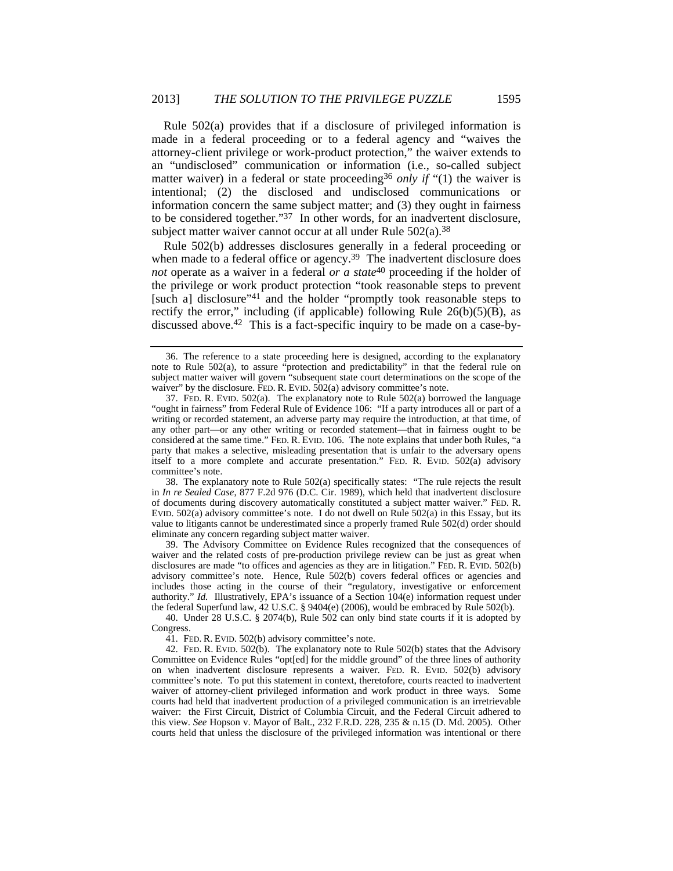Rule 502(a) provides that if a disclosure of privileged information is made in a federal proceeding or to a federal agency and "waives the attorney-client privilege or work-product protection," the waiver extends to an "undisclosed" communication or information (i.e., so-called subject matter waiver) in a federal or state proceeding<sup>36</sup> *only if* "(1) the waiver is intentional; (2) the disclosed and undisclosed communications or information concern the same subject matter; and (3) they ought in fairness to be considered together."37 In other words, for an inadvertent disclosure, subject matter waiver cannot occur at all under Rule 502(a).<sup>38</sup>

Rule 502(b) addresses disclosures generally in a federal proceeding or when made to a federal office or agency.<sup>39</sup> The inadvertent disclosure does *not* operate as a waiver in a federal *or a state*<sup>40</sup> proceeding if the holder of the privilege or work product protection "took reasonable steps to prevent [such a] disclosure"41 and the holder "promptly took reasonable steps to rectify the error," including (if applicable) following Rule  $26(b)(5)(B)$ , as discussed above.42 This is a fact-specific inquiry to be made on a case-by-

 38. The explanatory note to Rule 502(a) specifically states: "The rule rejects the result in *In re Sealed Case*, 877 F.2d 976 (D.C. Cir. 1989), which held that inadvertent disclosure of documents during discovery automatically constituted a subject matter waiver." FED. R. EVID. 502(a) advisory committee's note. I do not dwell on Rule 502(a) in this Essay, but its value to litigants cannot be underestimated since a properly framed Rule 502(d) order should eliminate any concern regarding subject matter waiver.

 39. The Advisory Committee on Evidence Rules recognized that the consequences of waiver and the related costs of pre-production privilege review can be just as great when disclosures are made "to offices and agencies as they are in litigation." FED. R. EVID. 502(b) advisory committee's note. Hence, Rule 502(b) covers federal offices or agencies and includes those acting in the course of their "regulatory, investigative or enforcement authority." *Id.* Illustratively, EPA's issuance of a Section 104(e) information request under the federal Superfund law, 42 U.S.C. § 9404(e) (2006), would be embraced by Rule 502(b).

 40. Under 28 U.S.C. § 2074(b), Rule 502 can only bind state courts if it is adopted by Congress.

41. FED. R. EVID. 502(b) advisory committee's note.

 42. FED. R. EVID. 502(b). The explanatory note to Rule 502(b) states that the Advisory Committee on Evidence Rules "opt[ed] for the middle ground" of the three lines of authority on when inadvertent disclosure represents a waiver. FED. R. EVID. 502(b) advisory committee's note. To put this statement in context, theretofore, courts reacted to inadvertent waiver of attorney-client privileged information and work product in three ways. Some courts had held that inadvertent production of a privileged communication is an irretrievable waiver: the First Circuit, District of Columbia Circuit, and the Federal Circuit adhered to this view. *See* Hopson v. Mayor of Balt., 232 F.R.D. 228, 235 & n.15 (D. Md. 2005). Other courts held that unless the disclosure of the privileged information was intentional or there

 <sup>36.</sup> The reference to a state proceeding here is designed, according to the explanatory note to Rule 502(a), to assure "protection and predictability" in that the federal rule on subject matter waiver will govern "subsequent state court determinations on the scope of the waiver" by the disclosure. FED. R. EVID. 502(a) advisory committee's note.

 <sup>37.</sup> FED. R. EVID. 502(a). The explanatory note to Rule 502(a) borrowed the language "ought in fairness" from Federal Rule of Evidence 106: "If a party introduces all or part of a writing or recorded statement, an adverse party may require the introduction, at that time, of any other part—or any other writing or recorded statement—that in fairness ought to be considered at the same time." FED. R. EVID. 106. The note explains that under both Rules, "a party that makes a selective, misleading presentation that is unfair to the adversary opens itself to a more complete and accurate presentation." FED. R. EVID. 502(a) advisory committee's note.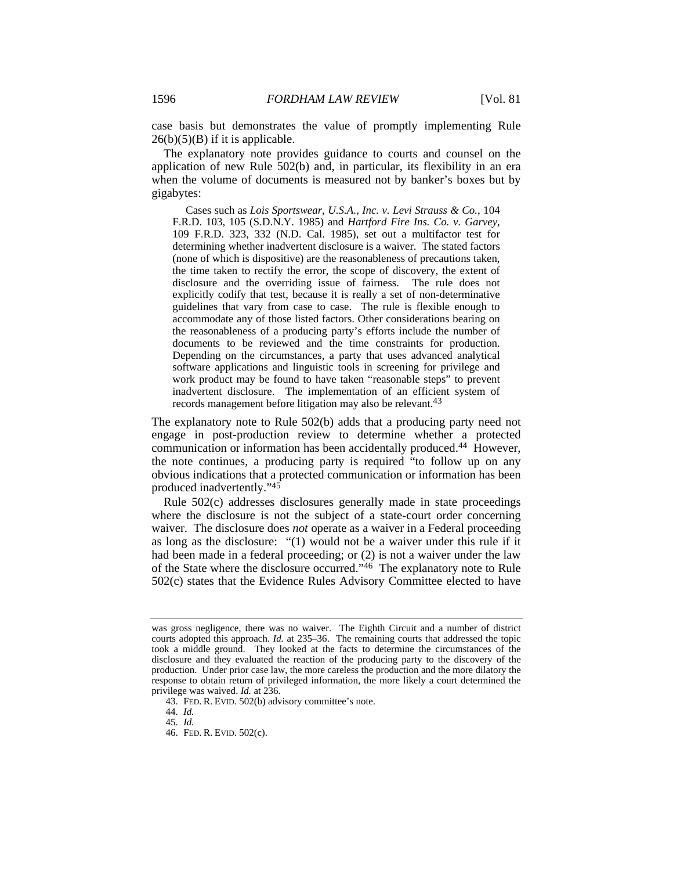case basis but demonstrates the value of promptly implementing Rule  $26(b)(5)(B)$  if it is applicable.

The explanatory note provides guidance to courts and counsel on the application of new Rule 502(b) and, in particular, its flexibility in an era when the volume of documents is measured not by banker's boxes but by gigabytes:

 Cases such as *Lois Sportswear, U.S.A., Inc. v. Levi Strauss & Co.*, 104 F.R.D. 103, 105 (S.D.N.Y. 1985) and *Hartford Fire Ins. Co. v. Garvey*, 109 F.R.D. 323, 332 (N.D. Cal. 1985), set out a multifactor test for determining whether inadvertent disclosure is a waiver. The stated factors (none of which is dispositive) are the reasonableness of precautions taken, the time taken to rectify the error, the scope of discovery, the extent of disclosure and the overriding issue of fairness. The rule does not explicitly codify that test, because it is really a set of non-determinative guidelines that vary from case to case. The rule is flexible enough to accommodate any of those listed factors. Other considerations bearing on the reasonableness of a producing party's efforts include the number of documents to be reviewed and the time constraints for production. Depending on the circumstances, a party that uses advanced analytical software applications and linguistic tools in screening for privilege and work product may be found to have taken "reasonable steps" to prevent inadvertent disclosure. The implementation of an efficient system of records management before litigation may also be relevant.<sup>43</sup>

The explanatory note to Rule 502(b) adds that a producing party need not engage in post-production review to determine whether a protected communication or information has been accidentally produced.44 However, the note continues, a producing party is required "to follow up on any obvious indications that a protected communication or information has been produced inadvertently."45

Rule 502(c) addresses disclosures generally made in state proceedings where the disclosure is not the subject of a state-court order concerning waiver. The disclosure does *not* operate as a waiver in a Federal proceeding as long as the disclosure: "(1) would not be a waiver under this rule if it had been made in a federal proceeding; or (2) is not a waiver under the law of the State where the disclosure occurred."46 The explanatory note to Rule 502(c) states that the Evidence Rules Advisory Committee elected to have

44. *Id.*

was gross negligence, there was no waiver. The Eighth Circuit and a number of district courts adopted this approach. *Id.* at 235–36. The remaining courts that addressed the topic took a middle ground. They looked at the facts to determine the circumstances of the disclosure and they evaluated the reaction of the producing party to the discovery of the production. Under prior case law, the more careless the production and the more dilatory the response to obtain return of privileged information, the more likely a court determined the privilege was waived. *Id.* at 236.

 <sup>43.</sup> FED. R. EVID. 502(b) advisory committee's note.

 <sup>45.</sup> *Id.*

 <sup>46.</sup> FED. R. EVID. 502(c).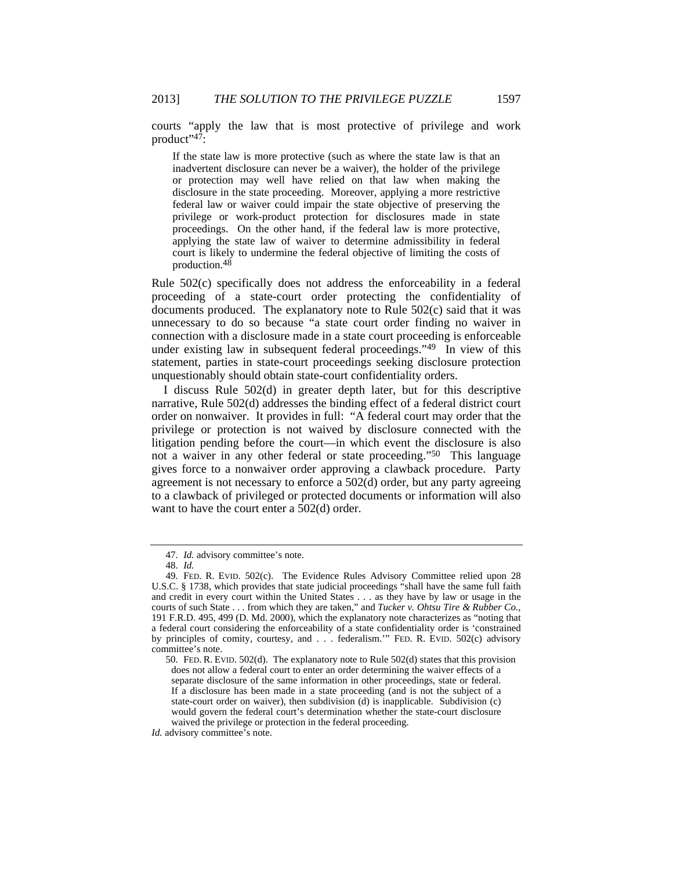courts "apply the law that is most protective of privilege and work product"<sup>47</sup>:

If the state law is more protective (such as where the state law is that an inadvertent disclosure can never be a waiver), the holder of the privilege or protection may well have relied on that law when making the disclosure in the state proceeding. Moreover, applying a more restrictive federal law or waiver could impair the state objective of preserving the privilege or work-product protection for disclosures made in state proceedings. On the other hand, if the federal law is more protective, applying the state law of waiver to determine admissibility in federal court is likely to undermine the federal objective of limiting the costs of production.48

Rule 502(c) specifically does not address the enforceability in a federal proceeding of a state-court order protecting the confidentiality of documents produced. The explanatory note to Rule 502(c) said that it was unnecessary to do so because "a state court order finding no waiver in connection with a disclosure made in a state court proceeding is enforceable under existing law in subsequent federal proceedings."49 In view of this statement, parties in state-court proceedings seeking disclosure protection unquestionably should obtain state-court confidentiality orders.

I discuss Rule 502(d) in greater depth later, but for this descriptive narrative, Rule 502(d) addresses the binding effect of a federal district court order on nonwaiver. It provides in full: "A federal court may order that the privilege or protection is not waived by disclosure connected with the litigation pending before the court—in which event the disclosure is also not a waiver in any other federal or state proceeding."50 This language gives force to a nonwaiver order approving a clawback procedure. Party agreement is not necessary to enforce a 502(d) order, but any party agreeing to a clawback of privileged or protected documents or information will also want to have the court enter a 502(d) order.

*Id.* advisory committee's note.

 <sup>47.</sup> *Id.* advisory committee's note.

 <sup>48.</sup> *Id.*

 <sup>49.</sup> FED. R. EVID. 502(c). The Evidence Rules Advisory Committee relied upon 28 U.S.C. § 1738, which provides that state judicial proceedings "shall have the same full faith and credit in every court within the United States . . . as they have by law or usage in the courts of such State . . . from which they are taken," and *Tucker v. Ohtsu Tire & Rubber Co.*, 191 F.R.D. 495, 499 (D. Md. 2000), which the explanatory note characterizes as "noting that a federal court considering the enforceability of a state confidentiality order is 'constrained by principles of comity, courtesy, and . . . federalism.'" FED. R. EVID. 502(c) advisory committee's note.

 <sup>50.</sup> FED. R. EVID. 502(d). The explanatory note to Rule 502(d) states that this provision does not allow a federal court to enter an order determining the waiver effects of a separate disclosure of the same information in other proceedings, state or federal. If a disclosure has been made in a state proceeding (and is not the subject of a state-court order on waiver), then subdivision (d) is inapplicable. Subdivision (c) would govern the federal court's determination whether the state-court disclosure waived the privilege or protection in the federal proceeding.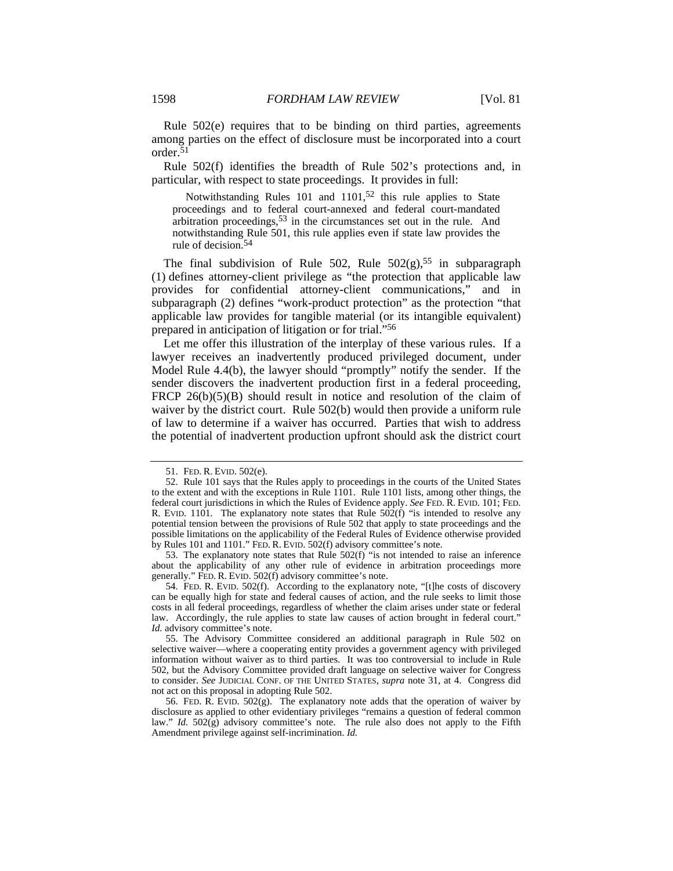Rule 502(e) requires that to be binding on third parties, agreements among parties on the effect of disclosure must be incorporated into a court order.51

Rule 502(f) identifies the breadth of Rule 502's protections and, in particular, with respect to state proceedings. It provides in full:

Notwithstanding Rules 101 and 1101,<sup>52</sup> this rule applies to State proceedings and to federal court-annexed and federal court-mandated arbitration proceedings,<sup>53</sup> in the circumstances set out in the rule. And notwithstanding Rule 501, this rule applies even if state law provides the rule of decision.54

The final subdivision of Rule 502, Rule  $502(g)$ ,  $55$  in subparagraph (1) defines attorney-client privilege as "the protection that applicable law provides for confidential attorney-client communications," and in subparagraph (2) defines "work-product protection" as the protection "that applicable law provides for tangible material (or its intangible equivalent) prepared in anticipation of litigation or for trial."56

Let me offer this illustration of the interplay of these various rules. If a lawyer receives an inadvertently produced privileged document, under Model Rule 4.4(b), the lawyer should "promptly" notify the sender. If the sender discovers the inadvertent production first in a federal proceeding, FRCP  $26(b)(5)(B)$  should result in notice and resolution of the claim of waiver by the district court. Rule 502(b) would then provide a uniform rule of law to determine if a waiver has occurred. Parties that wish to address the potential of inadvertent production upfront should ask the district court

 53. The explanatory note states that Rule 502(f) "is not intended to raise an inference about the applicability of any other rule of evidence in arbitration proceedings more generally." FED. R. EVID. 502(f) advisory committee's note.

 <sup>51.</sup> FED. R. EVID. 502(e).

 <sup>52.</sup> Rule 101 says that the Rules apply to proceedings in the courts of the United States to the extent and with the exceptions in Rule 1101. Rule 1101 lists, among other things, the federal court jurisdictions in which the Rules of Evidence apply. *See* FED. R. EVID. 101; FED. R. EVID. 1101. The explanatory note states that Rule  $502(f)$  "is intended to resolve any potential tension between the provisions of Rule 502 that apply to state proceedings and the possible limitations on the applicability of the Federal Rules of Evidence otherwise provided by Rules 101 and 1101." FED. R. EVID. 502(f) advisory committee's note.

 <sup>54.</sup> FED. R. EVID. 502(f). According to the explanatory note, "[t]he costs of discovery can be equally high for state and federal causes of action, and the rule seeks to limit those costs in all federal proceedings, regardless of whether the claim arises under state or federal law. Accordingly, the rule applies to state law causes of action brought in federal court." *Id.* advisory committee's note.

 <sup>55.</sup> The Advisory Committee considered an additional paragraph in Rule 502 on selective waiver—where a cooperating entity provides a government agency with privileged information without waiver as to third parties. It was too controversial to include in Rule 502, but the Advisory Committee provided draft language on selective waiver for Congress to consider. *See* JUDICIAL CONF. OF THE UNITED STATES, *supra* note 31, at 4. Congress did not act on this proposal in adopting Rule 502.

<sup>56.</sup> FED. R. EVID.  $502(g)$ . The explanatory note adds that the operation of waiver by disclosure as applied to other evidentiary privileges "remains a question of federal common law." *Id.* 502(g) advisory committee's note. The rule also does not apply to the Fifth Amendment privilege against self-incrimination. *Id.*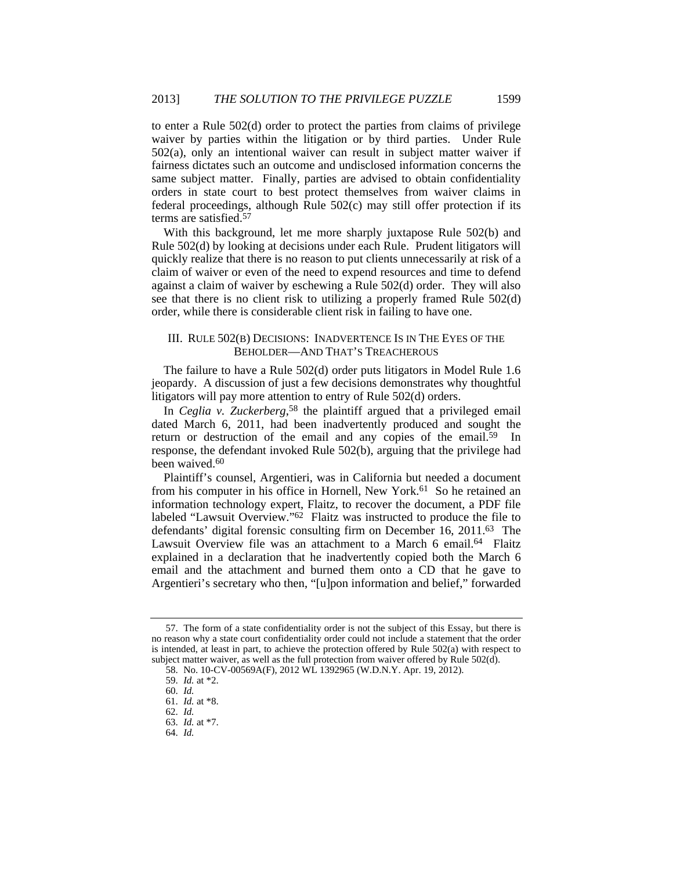to enter a Rule 502(d) order to protect the parties from claims of privilege waiver by parties within the litigation or by third parties. Under Rule 502(a), only an intentional waiver can result in subject matter waiver if fairness dictates such an outcome and undisclosed information concerns the same subject matter. Finally, parties are advised to obtain confidentiality orders in state court to best protect themselves from waiver claims in federal proceedings, although Rule 502(c) may still offer protection if its terms are satisfied.57

With this background, let me more sharply juxtapose Rule 502(b) and Rule 502(d) by looking at decisions under each Rule. Prudent litigators will quickly realize that there is no reason to put clients unnecessarily at risk of a claim of waiver or even of the need to expend resources and time to defend against a claim of waiver by eschewing a Rule 502(d) order. They will also see that there is no client risk to utilizing a properly framed Rule 502(d) order, while there is considerable client risk in failing to have one.

#### III. RULE 502(B) DECISIONS: INADVERTENCE IS IN THE EYES OF THE BEHOLDER—AND THAT'S TREACHEROUS

The failure to have a Rule 502(d) order puts litigators in Model Rule 1.6 jeopardy. A discussion of just a few decisions demonstrates why thoughtful litigators will pay more attention to entry of Rule 502(d) orders.

In *Ceglia v. Zuckerberg*, 58 the plaintiff argued that a privileged email dated March 6, 2011, had been inadvertently produced and sought the return or destruction of the email and any copies of the email.<sup>59</sup> In response, the defendant invoked Rule 502(b), arguing that the privilege had been waived.<sup>60</sup>

Plaintiff's counsel, Argentieri, was in California but needed a document from his computer in his office in Hornell, New York.<sup>61</sup> So he retained an information technology expert, Flaitz, to recover the document, a PDF file labeled "Lawsuit Overview."62 Flaitz was instructed to produce the file to defendants' digital forensic consulting firm on December 16, 2011.63 The Lawsuit Overview file was an attachment to a March 6 email.<sup>64</sup> Flaitz explained in a declaration that he inadvertently copied both the March 6 email and the attachment and burned them onto a CD that he gave to Argentieri's secretary who then, "[u]pon information and belief," forwarded

 <sup>57.</sup> The form of a state confidentiality order is not the subject of this Essay, but there is no reason why a state court confidentiality order could not include a statement that the order is intended, at least in part, to achieve the protection offered by Rule 502(a) with respect to subject matter waiver, as well as the full protection from waiver offered by Rule  $502(d)$ .

 <sup>58.</sup> No. 10-CV-00569A(F), 2012 WL 1392965 (W.D.N.Y. Apr. 19, 2012).

 <sup>59.</sup> *Id.* at \*2.

 <sup>60.</sup> *Id.*

 <sup>61.</sup> *Id.* at \*8.

 <sup>62.</sup> *Id.*

 <sup>63.</sup> *Id.* at \*7.

 <sup>64.</sup> *Id.*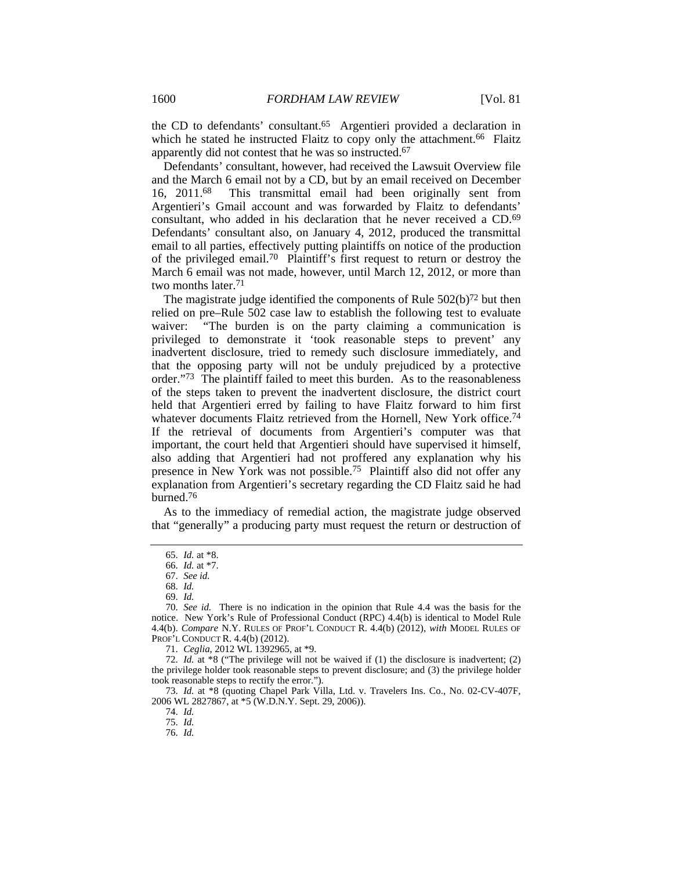the CD to defendants' consultant.65 Argentieri provided a declaration in which he stated he instructed Flaitz to copy only the attachment.<sup>66</sup> Flaitz apparently did not contest that he was so instructed.67

Defendants' consultant, however, had received the Lawsuit Overview file and the March 6 email not by a CD, but by an email received on December 16, 2011.68 This transmittal email had been originally sent from Argentieri's Gmail account and was forwarded by Flaitz to defendants' consultant, who added in his declaration that he never received a CD.69 Defendants' consultant also, on January 4, 2012, produced the transmittal email to all parties, effectively putting plaintiffs on notice of the production of the privileged email.70 Plaintiff's first request to return or destroy the March 6 email was not made, however, until March 12, 2012, or more than two months later.71

The magistrate judge identified the components of Rule  $502(b)^{72}$  but then relied on pre–Rule 502 case law to establish the following test to evaluate waiver: "The burden is on the party claiming a communication is privileged to demonstrate it 'took reasonable steps to prevent' any inadvertent disclosure, tried to remedy such disclosure immediately, and that the opposing party will not be unduly prejudiced by a protective order."73 The plaintiff failed to meet this burden. As to the reasonableness of the steps taken to prevent the inadvertent disclosure, the district court held that Argentieri erred by failing to have Flaitz forward to him first whatever documents Flaitz retrieved from the Hornell, New York office.<sup>74</sup> If the retrieval of documents from Argentieri's computer was that important, the court held that Argentieri should have supervised it himself, also adding that Argentieri had not proffered any explanation why his presence in New York was not possible.75 Plaintiff also did not offer any explanation from Argentieri's secretary regarding the CD Flaitz said he had burned.76

As to the immediacy of remedial action, the magistrate judge observed that "generally" a producing party must request the return or destruction of

73. *Id.* at \*8 (quoting Chapel Park Villa, Ltd. v. Travelers Ins. Co., No. 02-CV-407F, 2006 WL 2827867, at \*5 (W.D.N.Y. Sept. 29, 2006)).

 <sup>65.</sup> *Id.* at \*8.

 <sup>66.</sup> *Id.* at \*7.

 <sup>67.</sup> *See id.*

 <sup>68.</sup> *Id.*

 <sup>69.</sup> *Id.*

 <sup>70.</sup> *See id.* There is no indication in the opinion that Rule 4.4 was the basis for the notice. New York's Rule of Professional Conduct (RPC) 4.4(b) is identical to Model Rule 4.4(b). *Compare* N.Y. RULES OF PROF'L CONDUCT R. 4.4(b) (2012), *with* MODEL RULES OF PROF'L CONDUCT R. 4.4(b) (2012).

 <sup>71.</sup> *Ceglia*, 2012 WL 1392965, at \*9.

 <sup>72.</sup> *Id.* at \*8 ("The privilege will not be waived if (1) the disclosure is inadvertent; (2) the privilege holder took reasonable steps to prevent disclosure; and (3) the privilege holder took reasonable steps to rectify the error.").

 <sup>74.</sup> *Id.*

 <sup>75.</sup> *Id.*

 <sup>76.</sup> *Id.*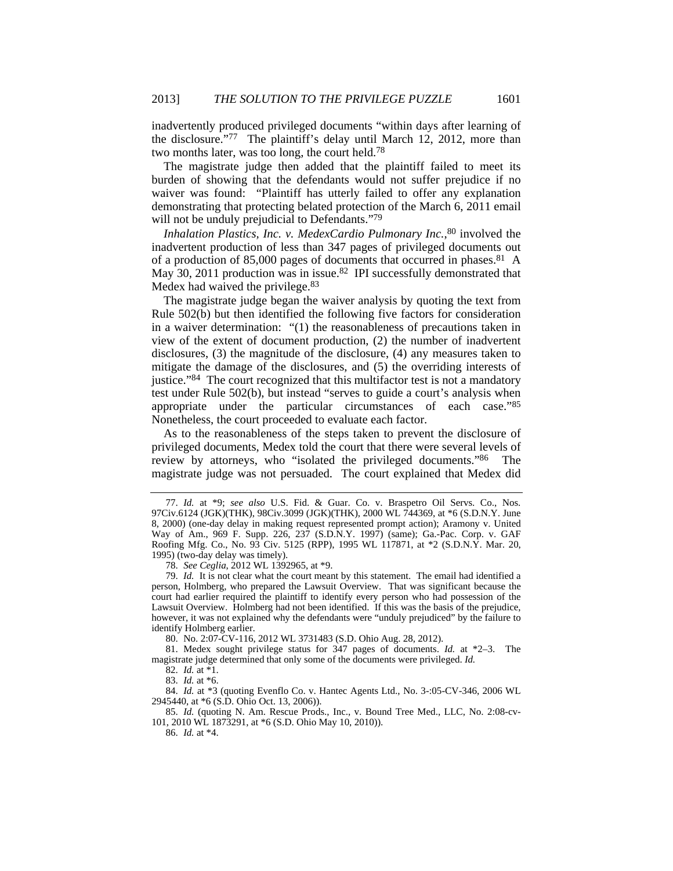inadvertently produced privileged documents "within days after learning of the disclosure."77 The plaintiff's delay until March 12, 2012, more than two months later, was too long, the court held.78

The magistrate judge then added that the plaintiff failed to meet its burden of showing that the defendants would not suffer prejudice if no waiver was found: "Plaintiff has utterly failed to offer any explanation demonstrating that protecting belated protection of the March 6, 2011 email will not be unduly prejudicial to Defendants."<sup>79</sup>

*Inhalation Plastics, Inc. v. MedexCardio Pulmonary Inc.*, 80 involved the inadvertent production of less than 347 pages of privileged documents out of a production of 85,000 pages of documents that occurred in phases.81 A May 30, 2011 production was in issue.<sup>82</sup> IPI successfully demonstrated that Medex had waived the privilege.<sup>83</sup>

The magistrate judge began the waiver analysis by quoting the text from Rule 502(b) but then identified the following five factors for consideration in a waiver determination: "(1) the reasonableness of precautions taken in view of the extent of document production, (2) the number of inadvertent disclosures, (3) the magnitude of the disclosure, (4) any measures taken to mitigate the damage of the disclosures, and (5) the overriding interests of justice."84 The court recognized that this multifactor test is not a mandatory test under Rule 502(b), but instead "serves to guide a court's analysis when appropriate under the particular circumstances of each case."85 Nonetheless, the court proceeded to evaluate each factor.

As to the reasonableness of the steps taken to prevent the disclosure of privileged documents, Medex told the court that there were several levels of review by attorneys, who "isolated the privileged documents."86 The magistrate judge was not persuaded. The court explained that Medex did

80. No. 2:07-CV-116, 2012 WL 3731483 (S.D. Ohio Aug. 28, 2012).

 81. Medex sought privilege status for 347 pages of documents. *Id.* at \*2–3. The magistrate judge determined that only some of the documents were privileged. *Id.*

82. *Id.* at \*1.

83. *Id.* at \*6.

 84. *Id.* at \*3 (quoting Evenflo Co. v. Hantec Agents Ltd., No. 3-:05-CV-346, 2006 WL 2945440, at \*6 (S.D. Ohio Oct. 13, 2006)).

 85. *Id.* (quoting N. Am. Rescue Prods., Inc., v. Bound Tree Med., LLC, No. 2:08-cv-101, 2010 WL 1873291, at \*6 (S.D. Ohio May 10, 2010)).

86. *Id.* at \*4.

 <sup>77.</sup> *Id.* at \*9; *see also* U.S. Fid. & Guar. Co. v. Braspetro Oil Servs. Co., Nos. 97Civ.6124 (JGK)(THK), 98Civ.3099 (JGK)(THK), 2000 WL 744369, at \*6 (S.D.N.Y. June 8, 2000) (one-day delay in making request represented prompt action); Aramony v. United Way of Am., 969 F. Supp. 226, 237 (S.D.N.Y. 1997) (same); Ga.-Pac. Corp. v. GAF Roofing Mfg. Co., No. 93 Civ. 5125 (RPP), 1995 WL 117871, at \*2 (S.D.N.Y. Mar. 20, 1995) (two-day delay was timely).

 <sup>78.</sup> *See Ceglia*, 2012 WL 1392965, at \*9.

 <sup>79.</sup> *Id.* It is not clear what the court meant by this statement. The email had identified a person, Holmberg, who prepared the Lawsuit Overview. That was significant because the court had earlier required the plaintiff to identify every person who had possession of the Lawsuit Overview. Holmberg had not been identified. If this was the basis of the prejudice, however, it was not explained why the defendants were "unduly prejudiced" by the failure to identify Holmberg earlier.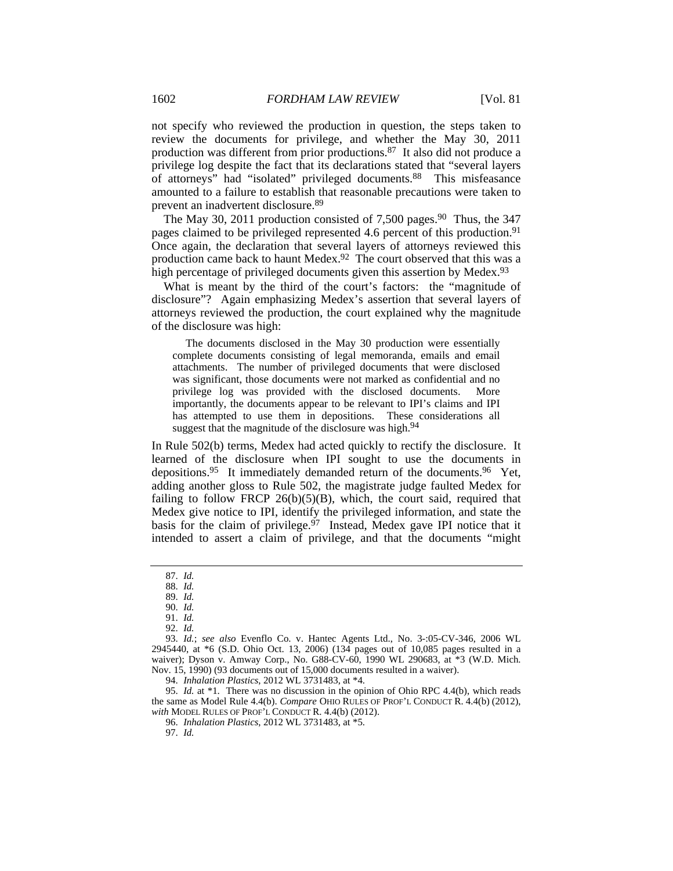not specify who reviewed the production in question, the steps taken to review the documents for privilege, and whether the May 30, 2011 production was different from prior productions.87 It also did not produce a privilege log despite the fact that its declarations stated that "several layers of attorneys" had "isolated" privileged documents.88 This misfeasance amounted to a failure to establish that reasonable precautions were taken to prevent an inadvertent disclosure.89

The May 30, 2011 production consisted of 7,500 pages.<sup>90</sup> Thus, the 347 pages claimed to be privileged represented 4.6 percent of this production.<sup>91</sup> Once again, the declaration that several layers of attorneys reviewed this production came back to haunt Medex.92 The court observed that this was a high percentage of privileged documents given this assertion by Medex.<sup>93</sup>

What is meant by the third of the court's factors: the "magnitude of disclosure"? Again emphasizing Medex's assertion that several layers of attorneys reviewed the production, the court explained why the magnitude of the disclosure was high:

 The documents disclosed in the May 30 production were essentially complete documents consisting of legal memoranda, emails and email attachments. The number of privileged documents that were disclosed was significant, those documents were not marked as confidential and no privilege log was provided with the disclosed documents. More importantly, the documents appear to be relevant to IPI's claims and IPI has attempted to use them in depositions. These considerations all suggest that the magnitude of the disclosure was high.<sup>94</sup>

In Rule 502(b) terms, Medex had acted quickly to rectify the disclosure. It learned of the disclosure when IPI sought to use the documents in depositions.95 It immediately demanded return of the documents.96 Yet, adding another gloss to Rule 502, the magistrate judge faulted Medex for failing to follow FRCP 26(b)(5)(B), which, the court said, required that Medex give notice to IPI, identify the privileged information, and state the basis for the claim of privilege. $97$  Instead, Medex gave IPI notice that it intended to assert a claim of privilege, and that the documents "might

 95. *Id.* at \*1. There was no discussion in the opinion of Ohio RPC 4.4(b), which reads the same as Model Rule 4.4(b). *Compare* OHIO RULES OF PROF'L CONDUCT R. 4.4(b) (2012), *with* MODEL RULES OF PROF'L CONDUCT R. 4.4(b) (2012).

 <sup>87.</sup> *Id.*

 <sup>88.</sup> *Id.*

 <sup>89.</sup> *Id.* 90. *Id.*

 <sup>91.</sup> *Id.*

 <sup>92.</sup> *Id.*

 <sup>93.</sup> *Id.*; *see also* Evenflo Co. v. Hantec Agents Ltd., No. 3-:05-CV-346, 2006 WL 2945440, at \*6 (S.D. Ohio Oct. 13, 2006) (134 pages out of 10,085 pages resulted in a waiver); Dyson v. Amway Corp., No. G88-CV-60, 1990 WL 290683, at \*3 (W.D. Mich. Nov. 15, 1990) (93 documents out of 15,000 documents resulted in a waiver).

 <sup>94.</sup> *Inhalation Plastics*, 2012 WL 3731483, at \*4.

 <sup>96.</sup> *Inhalation Plastics*, 2012 WL 3731483, at \*5.

 <sup>97.</sup> *Id.*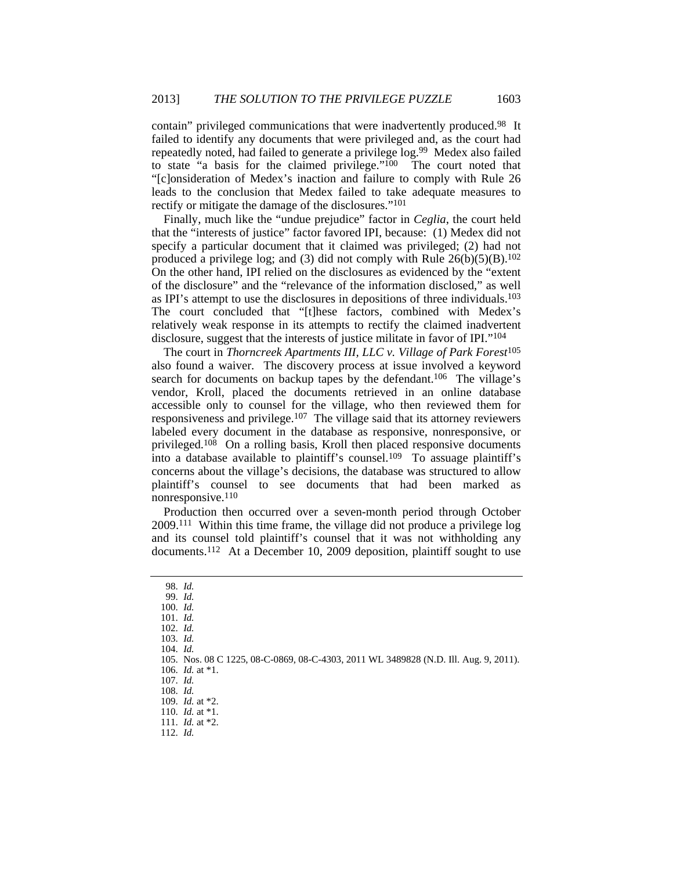contain" privileged communications that were inadvertently produced.98 It failed to identify any documents that were privileged and, as the court had repeatedly noted, had failed to generate a privilege log.99 Medex also failed to state "a basis for the claimed privilege."100 The court noted that "[c]onsideration of Medex's inaction and failure to comply with Rule 26 leads to the conclusion that Medex failed to take adequate measures to rectify or mitigate the damage of the disclosures."101

Finally, much like the "undue prejudice" factor in *Ceglia*, the court held that the "interests of justice" factor favored IPI, because: (1) Medex did not specify a particular document that it claimed was privileged; (2) had not produced a privilege log; and (3) did not comply with Rule  $26(b)(5)(B)$ .<sup>102</sup> On the other hand, IPI relied on the disclosures as evidenced by the "extent of the disclosure" and the "relevance of the information disclosed," as well as IPI's attempt to use the disclosures in depositions of three individuals.103 The court concluded that "[t]hese factors, combined with Medex's relatively weak response in its attempts to rectify the claimed inadvertent disclosure, suggest that the interests of justice militate in favor of IPI."104

The court in *Thorncreek Apartments III, LLC v. Village of Park Forest*<sup>105</sup> also found a waiver. The discovery process at issue involved a keyword search for documents on backup tapes by the defendant.<sup>106</sup> The village's vendor, Kroll, placed the documents retrieved in an online database accessible only to counsel for the village, who then reviewed them for responsiveness and privilege.107 The village said that its attorney reviewers labeled every document in the database as responsive, nonresponsive, or privileged.108 On a rolling basis, Kroll then placed responsive documents into a database available to plaintiff's counsel.109 To assuage plaintiff's concerns about the village's decisions, the database was structured to allow plaintiff's counsel to see documents that had been marked as nonresponsive.110

Production then occurred over a seven-month period through October 2009.111 Within this time frame, the village did not produce a privilege log and its counsel told plaintiff's counsel that it was not withholding any documents.112 At a December 10, 2009 deposition, plaintiff sought to use

 <sup>98.</sup> *Id.*

 <sup>99.</sup> *Id.* 100. *Id.*

 <sup>101.</sup> *Id.*

 <sup>102.</sup> *Id.*

 <sup>103.</sup> *Id.*

 <sup>104.</sup> *Id.*

 <sup>105.</sup> Nos. 08 C 1225, 08-C-0869, 08-C-4303, 2011 WL 3489828 (N.D. Ill. Aug. 9, 2011).

 <sup>106.</sup> *Id.* at \*1.

 <sup>107.</sup> *Id.* 108. *Id.*

 <sup>109.</sup> *Id.* at \*2.

 <sup>110.</sup> *Id.* at \*1.

 <sup>111.</sup> *Id.* at \*2.

 <sup>112.</sup> *Id.*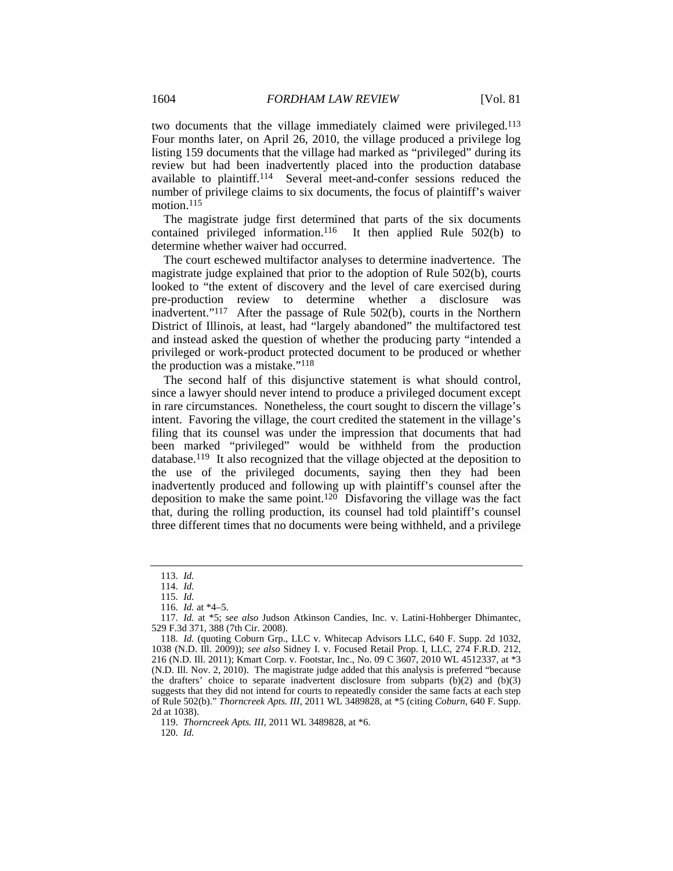two documents that the village immediately claimed were privileged.113 Four months later, on April 26, 2010, the village produced a privilege log listing 159 documents that the village had marked as "privileged" during its review but had been inadvertently placed into the production database available to plaintiff.114 Several meet-and-confer sessions reduced the number of privilege claims to six documents, the focus of plaintiff's waiver motion.<sup>115</sup>

The magistrate judge first determined that parts of the six documents contained privileged information.<sup>116</sup> It then applied Rule  $502(b)$  to determine whether waiver had occurred.

The court eschewed multifactor analyses to determine inadvertence. The magistrate judge explained that prior to the adoption of Rule 502(b), courts looked to "the extent of discovery and the level of care exercised during pre-production review to determine whether a disclosure was inadvertent."117 After the passage of Rule 502(b), courts in the Northern District of Illinois, at least, had "largely abandoned" the multifactored test and instead asked the question of whether the producing party "intended a privileged or work-product protected document to be produced or whether the production was a mistake."118

The second half of this disjunctive statement is what should control, since a lawyer should never intend to produce a privileged document except in rare circumstances. Nonetheless, the court sought to discern the village's intent. Favoring the village, the court credited the statement in the village's filing that its counsel was under the impression that documents that had been marked "privileged" would be withheld from the production database.119 It also recognized that the village objected at the deposition to the use of the privileged documents, saying then they had been inadvertently produced and following up with plaintiff's counsel after the deposition to make the same point.<sup>120</sup> Disfavoring the village was the fact that, during the rolling production, its counsel had told plaintiff's counsel three different times that no documents were being withheld, and a privilege

119. *Thorncreek Apts. III*, 2011 WL 3489828, at \*6.

120. *Id.*

 <sup>113.</sup> *Id.*

 <sup>114.</sup> *Id.*

 <sup>115.</sup> *Id.*

 <sup>116.</sup> *Id.* at \*4–5.

 <sup>117.</sup> *Id.* at \*5; *see also* Judson Atkinson Candies, Inc. v. Latini-Hohberger Dhimantec, 529 F.3d 371, 388 (7th Cir. 2008).

 <sup>118.</sup> *Id.* (quoting Coburn Grp., LLC v. Whitecap Advisors LLC, 640 F. Supp. 2d 1032, 1038 (N.D. Ill. 2009)); *see also* Sidney I. v. Focused Retail Prop. I, LLC, 274 F.R.D. 212, 216 (N.D. Ill. 2011); Kmart Corp. v. Footstar, Inc., No. 09 C 3607, 2010 WL 4512337, at \*3 (N.D. Ill. Nov. 2, 2010). The magistrate judge added that this analysis is preferred "because the drafters' choice to separate inadvertent disclosure from subparts  $(b)(2)$  and  $(b)(3)$ suggests that they did not intend for courts to repeatedly consider the same facts at each step of Rule 502(b)." *Thorncreek Apts. III*, 2011 WL 3489828, at \*5 (citing *Coburn*, 640 F. Supp. 2d at 1038).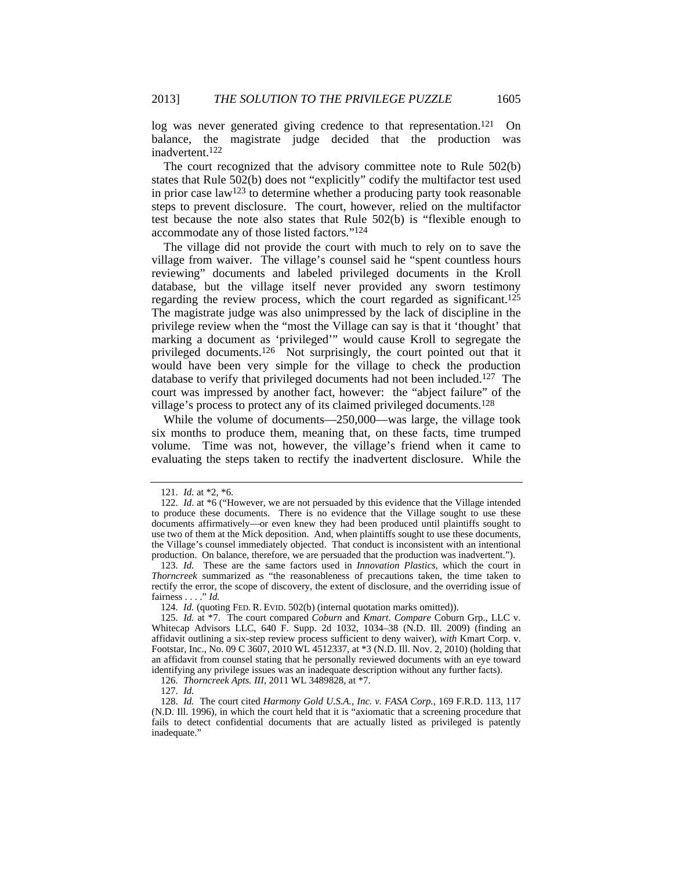log was never generated giving credence to that representation.<sup>121</sup> On balance, the magistrate judge decided that the production was inadvertent.122

The court recognized that the advisory committee note to Rule 502(b) states that Rule 502(b) does not "explicitly" codify the multifactor test used in prior case law<sup>123</sup> to determine whether a producing party took reasonable steps to prevent disclosure. The court, however, relied on the multifactor test because the note also states that Rule 502(b) is "flexible enough to accommodate any of those listed factors."124

The village did not provide the court with much to rely on to save the village from waiver. The village's counsel said he "spent countless hours reviewing" documents and labeled privileged documents in the Kroll database, but the village itself never provided any sworn testimony regarding the review process, which the court regarded as significant.125 The magistrate judge was also unimpressed by the lack of discipline in the privilege review when the "most the Village can say is that it 'thought' that marking a document as 'privileged'" would cause Kroll to segregate the privileged documents.126 Not surprisingly, the court pointed out that it would have been very simple for the village to check the production database to verify that privileged documents had not been included.<sup>127</sup> The court was impressed by another fact, however: the "abject failure" of the village's process to protect any of its claimed privileged documents.128

While the volume of documents—250,000—was large, the village took six months to produce them, meaning that, on these facts, time trumped volume. Time was not, however, the village's friend when it came to evaluating the steps taken to rectify the inadvertent disclosure. While the

 <sup>121.</sup> *Id.* at \*2, \*6.

 <sup>122.</sup> *Id*. at \*6 ("However, we are not persuaded by this evidence that the Village intended to produce these documents. There is no evidence that the Village sought to use these documents affirmatively—or even knew they had been produced until plaintiffs sought to use two of them at the Mick deposition. And, when plaintiffs sought to use these documents, the Village's counsel immediately objected. That conduct is inconsistent with an intentional production. On balance, therefore, we are persuaded that the production was inadvertent.").

 <sup>123.</sup> *Id.* These are the same factors used in *Innovation Plastics*, which the court in *Thorncreek* summarized as "the reasonableness of precautions taken, the time taken to rectify the error, the scope of discovery, the extent of disclosure, and the overriding issue of fairness . . . ." *Id.*

 <sup>124.</sup> *Id.* (quoting FED. R. EVID. 502(b) (internal quotation marks omitted)).

 <sup>125.</sup> *Id.* at \*7. The court compared *Coburn* and *Kmart*. *Compare* Coburn Grp., LLC v. Whitecap Advisors LLC, 640 F. Supp. 2d 1032, 1034–38 (N.D. Ill. 2009) (finding an affidavit outlining a six-step review process sufficient to deny waiver), *with* Kmart Corp. v. Footstar, Inc., No. 09 C 3607, 2010 WL 4512337, at \*3 (N.D. Ill. Nov. 2, 2010) (holding that an affidavit from counsel stating that he personally reviewed documents with an eye toward identifying any privilege issues was an inadequate description without any further facts).

 <sup>126.</sup> *Thorncreek Apts. III*, 2011 WL 3489828, at \*7.

 <sup>127.</sup> *Id.*

 <sup>128.</sup> *Id.* The court cited *Harmony Gold U.S.A., Inc. v. FASA Corp.*, 169 F.R.D. 113, 117 (N.D. Ill. 1996), in which the court held that it is "axiomatic that a screening procedure that fails to detect confidential documents that are actually listed as privileged is patently inadequate."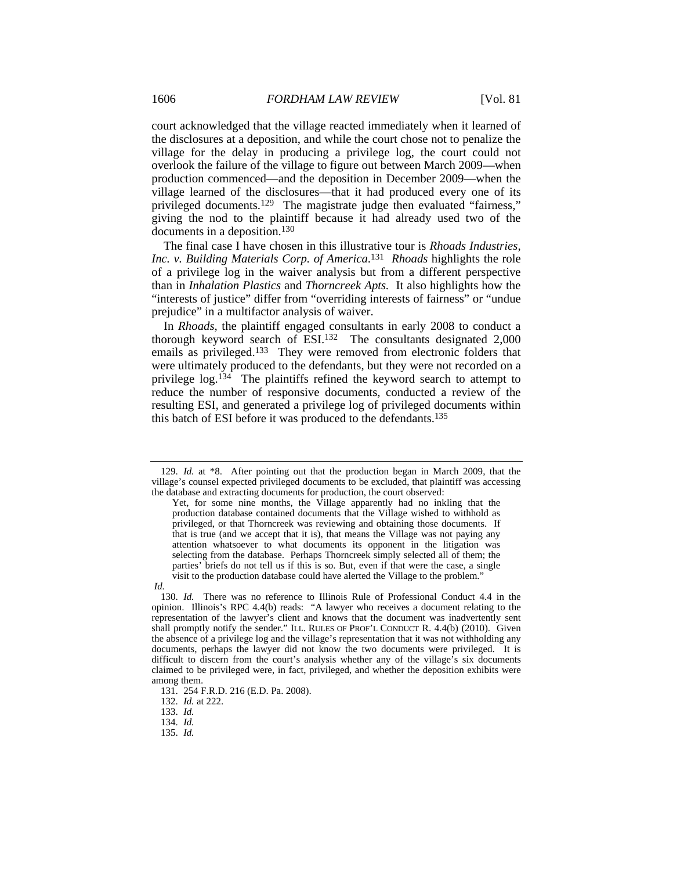court acknowledged that the village reacted immediately when it learned of the disclosures at a deposition, and while the court chose not to penalize the village for the delay in producing a privilege log, the court could not overlook the failure of the village to figure out between March 2009—when production commenced—and the deposition in December 2009—when the village learned of the disclosures—that it had produced every one of its privileged documents.129 The magistrate judge then evaluated "fairness," giving the nod to the plaintiff because it had already used two of the documents in a deposition.130

The final case I have chosen in this illustrative tour is *Rhoads Industries, Inc. v. Building Materials Corp. of America*. 131 *Rhoads* highlights the role of a privilege log in the waiver analysis but from a different perspective than in *Inhalation Plastics* and *Thorncreek Apts.* It also highlights how the "interests of justice" differ from "overriding interests of fairness" or "undue prejudice" in a multifactor analysis of waiver.

In *Rhoads*, the plaintiff engaged consultants in early 2008 to conduct a thorough keyword search of ESI.132 The consultants designated 2,000 emails as privileged.133 They were removed from electronic folders that were ultimately produced to the defendants, but they were not recorded on a privilege  $log.134$  The plaintiffs refined the keyword search to attempt to reduce the number of responsive documents, conducted a review of the resulting ESI, and generated a privilege log of privileged documents within this batch of ESI before it was produced to the defendants.135

*Id.*

 <sup>129.</sup> *Id.* at \*8. After pointing out that the production began in March 2009, that the village's counsel expected privileged documents to be excluded, that plaintiff was accessing the database and extracting documents for production, the court observed:

Yet, for some nine months, the Village apparently had no inkling that the production database contained documents that the Village wished to withhold as privileged, or that Thorncreek was reviewing and obtaining those documents. If that is true (and we accept that it is), that means the Village was not paying any attention whatsoever to what documents its opponent in the litigation was selecting from the database. Perhaps Thorncreek simply selected all of them; the parties' briefs do not tell us if this is so. But, even if that were the case, a single visit to the production database could have alerted the Village to the problem."

 <sup>130.</sup> *Id.* There was no reference to Illinois Rule of Professional Conduct 4.4 in the opinion. Illinois's RPC 4.4(b) reads: "A lawyer who receives a document relating to the representation of the lawyer's client and knows that the document was inadvertently sent shall promptly notify the sender." ILL. RULES OF PROF'L CONDUCT R. 4.4(b) (2010). Given the absence of a privilege log and the village's representation that it was not withholding any documents, perhaps the lawyer did not know the two documents were privileged. It is difficult to discern from the court's analysis whether any of the village's six documents claimed to be privileged were, in fact, privileged, and whether the deposition exhibits were among them.

 <sup>131. 254</sup> F.R.D. 216 (E.D. Pa. 2008).

 <sup>132.</sup> *Id.* at 222.

 <sup>133.</sup> *Id.*

 <sup>134.</sup> *Id.*

 <sup>135.</sup> *Id.*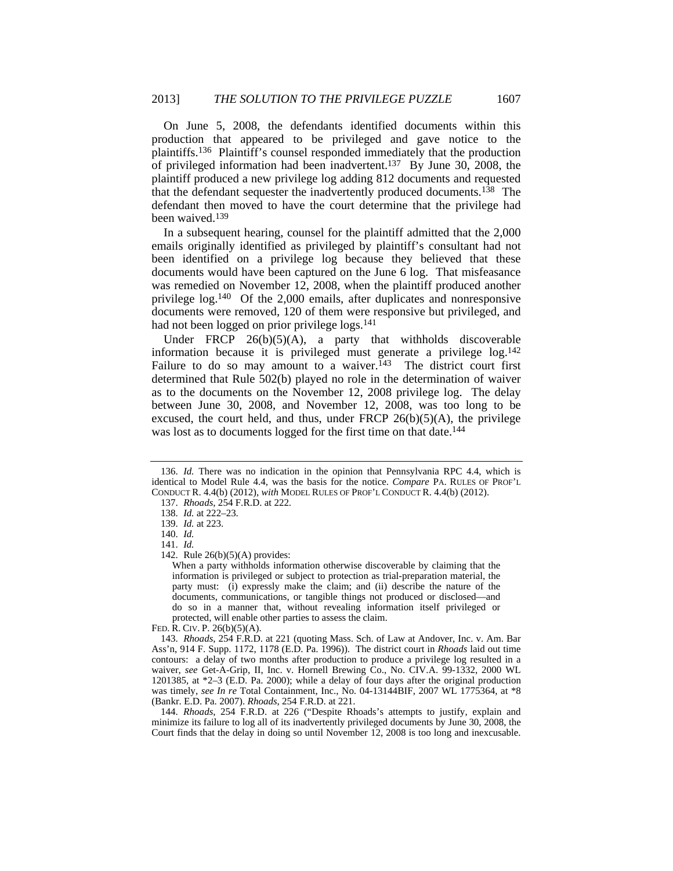On June 5, 2008, the defendants identified documents within this production that appeared to be privileged and gave notice to the plaintiffs.136 Plaintiff's counsel responded immediately that the production of privileged information had been inadvertent.137 By June 30, 2008, the plaintiff produced a new privilege log adding 812 documents and requested that the defendant sequester the inadvertently produced documents.138 The defendant then moved to have the court determine that the privilege had been waived.139

In a subsequent hearing, counsel for the plaintiff admitted that the 2,000 emails originally identified as privileged by plaintiff's consultant had not been identified on a privilege log because they believed that these documents would have been captured on the June 6 log. That misfeasance was remedied on November 12, 2008, when the plaintiff produced another privilege log.140 Of the 2,000 emails, after duplicates and nonresponsive documents were removed, 120 of them were responsive but privileged, and had not been logged on prior privilege logs.<sup>141</sup>

Under FRCP  $26(b)(5)(A)$ , a party that withholds discoverable information because it is privileged must generate a privilege log.142 Failure to do so may amount to a waiver.<sup>143</sup> The district court first determined that Rule 502(b) played no role in the determination of waiver as to the documents on the November 12, 2008 privilege log. The delay between June 30, 2008, and November 12, 2008, was too long to be excused, the court held, and thus, under FRCP  $26(b)(5)(A)$ , the privilege was lost as to documents logged for the first time on that date.<sup>144</sup>

 144. *Rhoads*, 254 F.R.D. at 226 ("Despite Rhoads's attempts to justify, explain and minimize its failure to log all of its inadvertently privileged documents by June 30, 2008, the Court finds that the delay in doing so until November 12, 2008 is too long and inexcusable.

 <sup>136.</sup> *Id.* There was no indication in the opinion that Pennsylvania RPC 4.4, which is identical to Model Rule 4.4, was the basis for the notice. *Compare* PA. RULES OF PROF'L CONDUCT R. 4.4(b) (2012), *with* MODEL RULES OF PROF'L CONDUCT R. 4.4(b) (2012).

 <sup>137.</sup> *Rhoads*, 254 F.R.D. at 222.

 <sup>138.</sup> *Id.* at 222–23.

 <sup>139.</sup> *Id.* at 223.

 <sup>140.</sup> *Id.*

 <sup>141.</sup> *Id.*

 <sup>142.</sup> Rule 26(b)(5)(A) provides:

When a party withholds information otherwise discoverable by claiming that the information is privileged or subject to protection as trial-preparation material, the party must: (i) expressly make the claim; and (ii) describe the nature of the documents, communications, or tangible things not produced or disclosed—and do so in a manner that, without revealing information itself privileged or protected, will enable other parties to assess the claim.

FED. R. CIV. P. 26(b)(5)(A).

 <sup>143.</sup> *Rhoads*, 254 F.R.D. at 221 (quoting Mass. Sch. of Law at Andover, Inc. v. Am. Bar Ass'n, 914 F. Supp. 1172, 1178 (E.D. Pa. 1996)). The district court in *Rhoads* laid out time contours: a delay of two months after production to produce a privilege log resulted in a waiver, see Get-A-Grip, II, Inc. v. Hornell Brewing Co., No. CIV.A. 99-1332, 2000 WL 1201385, at \*2–3 (E.D. Pa. 2000); while a delay of four days after the original production was timely, *see In re* Total Containment, Inc., No. 04-13144BIF, 2007 WL 1775364, at \*8 (Bankr. E.D. Pa. 2007). *Rhoads*, 254 F.R.D. at 221.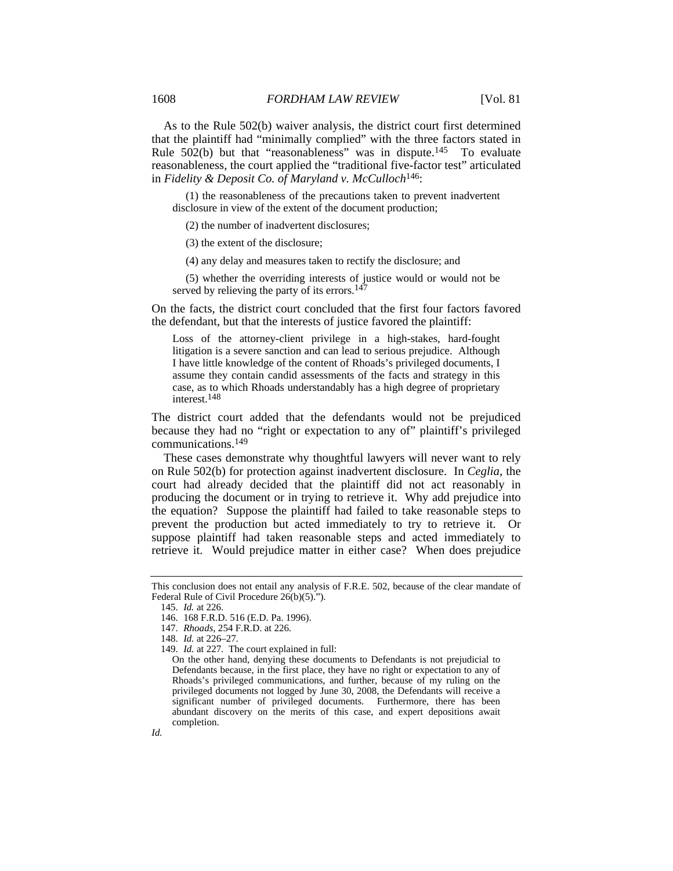As to the Rule 502(b) waiver analysis, the district court first determined that the plaintiff had "minimally complied" with the three factors stated in Rule 502(b) but that "reasonableness" was in dispute.145 To evaluate reasonableness, the court applied the "traditional five-factor test" articulated in *Fidelity & Deposit Co. of Maryland v. McCulloch*146:

 (1) the reasonableness of the precautions taken to prevent inadvertent disclosure in view of the extent of the document production;

(2) the number of inadvertent disclosures;

(3) the extent of the disclosure;

(4) any delay and measures taken to rectify the disclosure; and

 (5) whether the overriding interests of justice would or would not be served by relieving the party of its errors.<sup>147</sup>

On the facts, the district court concluded that the first four factors favored the defendant, but that the interests of justice favored the plaintiff:

Loss of the attorney-client privilege in a high-stakes, hard-fought litigation is a severe sanction and can lead to serious prejudice. Although I have little knowledge of the content of Rhoads's privileged documents, I assume they contain candid assessments of the facts and strategy in this case, as to which Rhoads understandably has a high degree of proprietary interest.148

The district court added that the defendants would not be prejudiced because they had no "right or expectation to any of" plaintiff's privileged communications.149

These cases demonstrate why thoughtful lawyers will never want to rely on Rule 502(b) for protection against inadvertent disclosure. In *Ceglia*, the court had already decided that the plaintiff did not act reasonably in producing the document or in trying to retrieve it. Why add prejudice into the equation? Suppose the plaintiff had failed to take reasonable steps to prevent the production but acted immediately to try to retrieve it. Or suppose plaintiff had taken reasonable steps and acted immediately to retrieve it. Would prejudice matter in either case? When does prejudice

This conclusion does not entail any analysis of F.R.E. 502, because of the clear mandate of Federal Rule of Civil Procedure 26(b)(5).").

 <sup>145.</sup> *Id.* at 226.

 <sup>146. 168</sup> F.R.D. 516 (E.D. Pa. 1996).

 <sup>147.</sup> *Rhoads*, 254 F.R.D. at 226.

 <sup>148.</sup> *Id.* at 226–27.

 <sup>149.</sup> *Id.* at 227. The court explained in full:

On the other hand, denying these documents to Defendants is not prejudicial to Defendants because, in the first place, they have no right or expectation to any of Rhoads's privileged communications, and further, because of my ruling on the privileged documents not logged by June 30, 2008, the Defendants will receive a significant number of privileged documents. Furthermore, there has been abundant discovery on the merits of this case, and expert depositions await completion.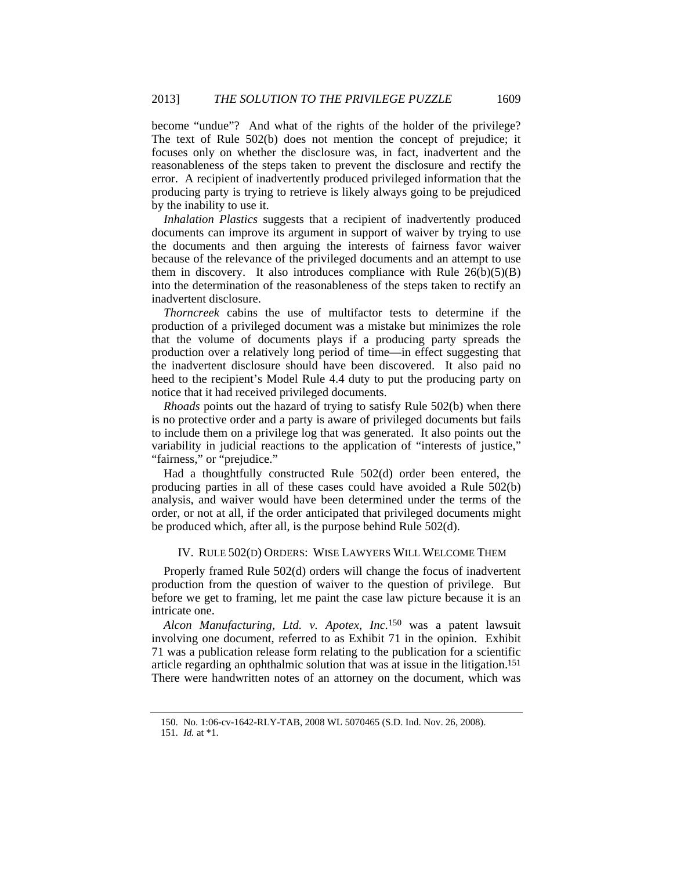become "undue"? And what of the rights of the holder of the privilege? The text of Rule 502(b) does not mention the concept of prejudice; it focuses only on whether the disclosure was, in fact, inadvertent and the reasonableness of the steps taken to prevent the disclosure and rectify the error. A recipient of inadvertently produced privileged information that the producing party is trying to retrieve is likely always going to be prejudiced by the inability to use it.

*Inhalation Plastics* suggests that a recipient of inadvertently produced documents can improve its argument in support of waiver by trying to use the documents and then arguing the interests of fairness favor waiver because of the relevance of the privileged documents and an attempt to use them in discovery. It also introduces compliance with Rule  $26(b)(5)(B)$ into the determination of the reasonableness of the steps taken to rectify an inadvertent disclosure.

*Thorncreek* cabins the use of multifactor tests to determine if the production of a privileged document was a mistake but minimizes the role that the volume of documents plays if a producing party spreads the production over a relatively long period of time—in effect suggesting that the inadvertent disclosure should have been discovered. It also paid no heed to the recipient's Model Rule 4.4 duty to put the producing party on notice that it had received privileged documents.

*Rhoads* points out the hazard of trying to satisfy Rule 502(b) when there is no protective order and a party is aware of privileged documents but fails to include them on a privilege log that was generated. It also points out the variability in judicial reactions to the application of "interests of justice," "fairness," or "prejudice."

Had a thoughtfully constructed Rule 502(d) order been entered, the producing parties in all of these cases could have avoided a Rule 502(b) analysis, and waiver would have been determined under the terms of the order, or not at all, if the order anticipated that privileged documents might be produced which, after all, is the purpose behind Rule 502(d).

#### IV. RULE 502(D) ORDERS: WISE LAWYERS WILL WELCOME THEM

Properly framed Rule 502(d) orders will change the focus of inadvertent production from the question of waiver to the question of privilege. But before we get to framing, let me paint the case law picture because it is an intricate one.

*Alcon Manufacturing, Ltd. v. Apotex, Inc.*<sup>150</sup> was a patent lawsuit involving one document, referred to as Exhibit 71 in the opinion. Exhibit 71 was a publication release form relating to the publication for a scientific article regarding an ophthalmic solution that was at issue in the litigation.151 There were handwritten notes of an attorney on the document, which was

 <sup>150.</sup> No. 1:06-cv-1642-RLY-TAB, 2008 WL 5070465 (S.D. Ind. Nov. 26, 2008).

 <sup>151.</sup> *Id.* at \*1.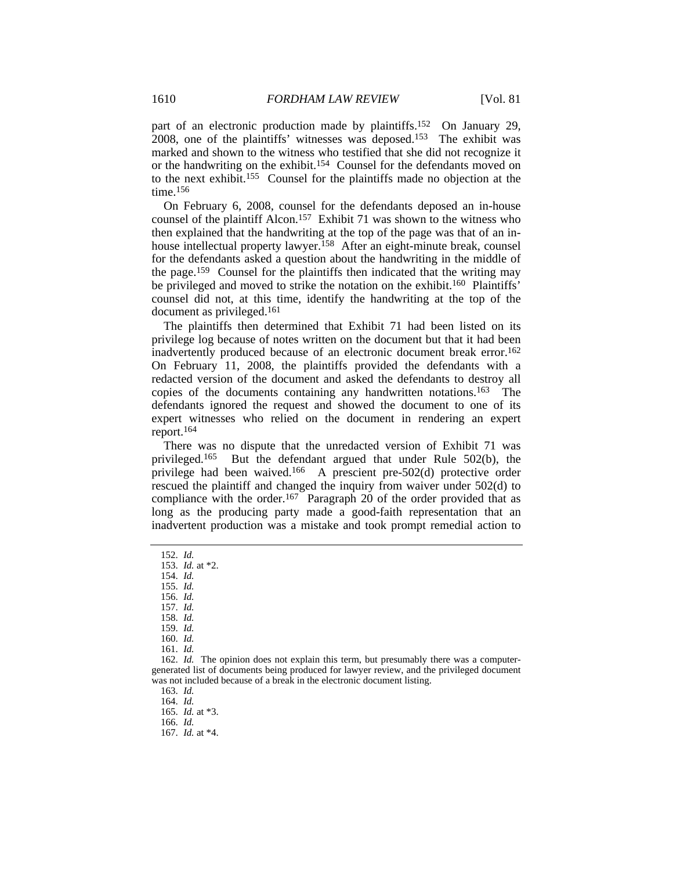part of an electronic production made by plaintiffs.152 On January 29, 2008, one of the plaintiffs' witnesses was deposed.153 The exhibit was marked and shown to the witness who testified that she did not recognize it or the handwriting on the exhibit.154 Counsel for the defendants moved on to the next exhibit.155 Counsel for the plaintiffs made no objection at the time.156

On February 6, 2008, counsel for the defendants deposed an in-house counsel of the plaintiff Alcon.157 Exhibit 71 was shown to the witness who then explained that the handwriting at the top of the page was that of an inhouse intellectual property lawyer.<sup>158</sup> After an eight-minute break, counsel for the defendants asked a question about the handwriting in the middle of the page.159 Counsel for the plaintiffs then indicated that the writing may be privileged and moved to strike the notation on the exhibit.<sup>160</sup> Plaintiffs' counsel did not, at this time, identify the handwriting at the top of the document as privileged.161

The plaintiffs then determined that Exhibit 71 had been listed on its privilege log because of notes written on the document but that it had been inadvertently produced because of an electronic document break error.162 On February 11, 2008, the plaintiffs provided the defendants with a redacted version of the document and asked the defendants to destroy all copies of the documents containing any handwritten notations.163 The defendants ignored the request and showed the document to one of its expert witnesses who relied on the document in rendering an expert report.164

There was no dispute that the unredacted version of Exhibit 71 was privileged.165 But the defendant argued that under Rule 502(b), the privilege had been waived.166 A prescient pre-502(d) protective order rescued the plaintiff and changed the inquiry from waiver under 502(d) to compliance with the order.<sup>167</sup> Paragraph 20 of the order provided that as long as the producing party made a good-faith representation that an inadvertent production was a mistake and took prompt remedial action to

159. *Id.*

 162. *Id.* The opinion does not explain this term, but presumably there was a computergenerated list of documents being produced for lawyer review, and the privileged document was not included because of a break in the electronic document listing.

163. *Id.*

164. *Id.*

 <sup>152.</sup> *Id.*

 <sup>153.</sup> *Id.* at \*2.

 <sup>154.</sup> *Id.*

 <sup>155.</sup> *Id.*

 <sup>156.</sup> *Id.* 157. *Id.*

 <sup>158.</sup> *Id.*

 <sup>160.</sup> *Id.*

 <sup>161.</sup> *Id.*

 <sup>165.</sup> *Id.* at \*3.

 <sup>166.</sup> *Id.*

 <sup>167.</sup> *Id.* at \*4.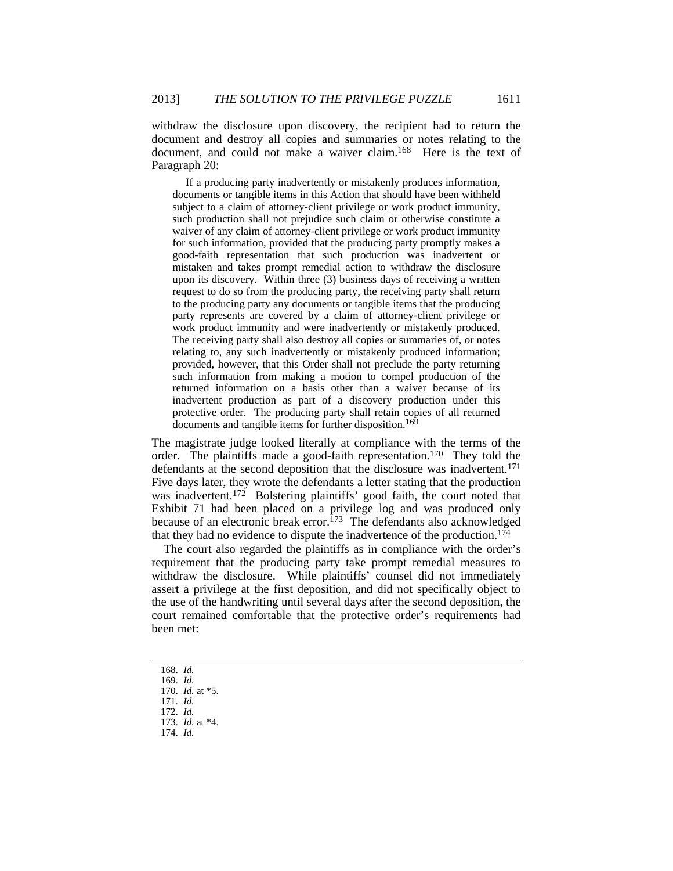withdraw the disclosure upon discovery, the recipient had to return the document and destroy all copies and summaries or notes relating to the document, and could not make a waiver claim.168 Here is the text of Paragraph 20:

 If a producing party inadvertently or mistakenly produces information, documents or tangible items in this Action that should have been withheld subject to a claim of attorney-client privilege or work product immunity, such production shall not prejudice such claim or otherwise constitute a waiver of any claim of attorney-client privilege or work product immunity for such information, provided that the producing party promptly makes a good-faith representation that such production was inadvertent or mistaken and takes prompt remedial action to withdraw the disclosure upon its discovery. Within three (3) business days of receiving a written request to do so from the producing party, the receiving party shall return to the producing party any documents or tangible items that the producing party represents are covered by a claim of attorney-client privilege or work product immunity and were inadvertently or mistakenly produced. The receiving party shall also destroy all copies or summaries of, or notes relating to, any such inadvertently or mistakenly produced information; provided, however, that this Order shall not preclude the party returning such information from making a motion to compel production of the returned information on a basis other than a waiver because of its inadvertent production as part of a discovery production under this protective order. The producing party shall retain copies of all returned documents and tangible items for further disposition.<sup>169</sup>

The magistrate judge looked literally at compliance with the terms of the order. The plaintiffs made a good-faith representation.170 They told the defendants at the second deposition that the disclosure was inadvertent.<sup>171</sup> Five days later, they wrote the defendants a letter stating that the production was inadvertent.<sup>172</sup> Bolstering plaintiffs' good faith, the court noted that Exhibit 71 had been placed on a privilege log and was produced only because of an electronic break error.<sup>173</sup> The defendants also acknowledged that they had no evidence to dispute the inadvertence of the production.174

The court also regarded the plaintiffs as in compliance with the order's requirement that the producing party take prompt remedial measures to withdraw the disclosure. While plaintiffs' counsel did not immediately assert a privilege at the first deposition, and did not specifically object to the use of the handwriting until several days after the second deposition, the court remained comfortable that the protective order's requirements had been met:

173. *Id.* at \*4.

 <sup>168.</sup> *Id.*

 <sup>169.</sup> *Id.*

 <sup>170.</sup> *Id.* at \*5. 171. *Id.*

 <sup>172.</sup> *Id.*

 <sup>174.</sup> *Id.*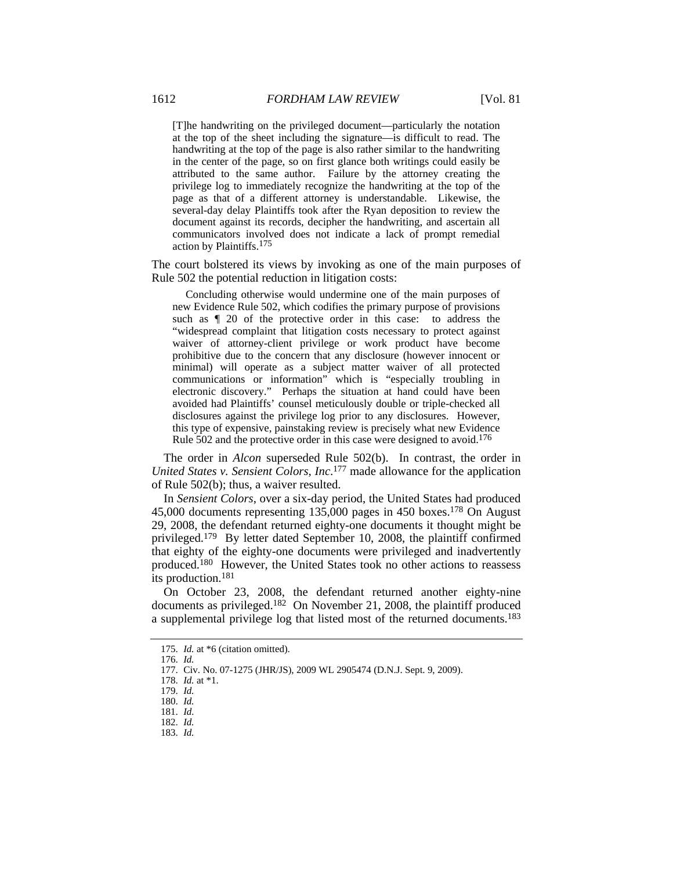[T]he handwriting on the privileged document—particularly the notation at the top of the sheet including the signature—is difficult to read. The handwriting at the top of the page is also rather similar to the handwriting in the center of the page, so on first glance both writings could easily be attributed to the same author. Failure by the attorney creating the privilege log to immediately recognize the handwriting at the top of the page as that of a different attorney is understandable. Likewise, the several-day delay Plaintiffs took after the Ryan deposition to review the document against its records, decipher the handwriting, and ascertain all communicators involved does not indicate a lack of prompt remedial action by Plaintiffs.175

The court bolstered its views by invoking as one of the main purposes of Rule 502 the potential reduction in litigation costs:

 Concluding otherwise would undermine one of the main purposes of new Evidence Rule 502, which codifies the primary purpose of provisions such as ¶ 20 of the protective order in this case: to address the "widespread complaint that litigation costs necessary to protect against waiver of attorney-client privilege or work product have become prohibitive due to the concern that any disclosure (however innocent or minimal) will operate as a subject matter waiver of all protected communications or information" which is "especially troubling in electronic discovery." Perhaps the situation at hand could have been avoided had Plaintiffs' counsel meticulously double or triple-checked all disclosures against the privilege log prior to any disclosures. However, this type of expensive, painstaking review is precisely what new Evidence Rule 502 and the protective order in this case were designed to avoid.<sup>176</sup>

The order in *Alcon* superseded Rule 502(b). In contrast, the order in *United States v. Sensient Colors, Inc*. 177 made allowance for the application of Rule 502(b); thus, a waiver resulted.

In *Sensient Colors*, over a six-day period, the United States had produced 45,000 documents representing 135,000 pages in 450 boxes.178 On August 29, 2008, the defendant returned eighty-one documents it thought might be privileged.179 By letter dated September 10, 2008, the plaintiff confirmed that eighty of the eighty-one documents were privileged and inadvertently produced.180 However, the United States took no other actions to reassess its production.181

On October 23, 2008, the defendant returned another eighty-nine documents as privileged.182 On November 21, 2008, the plaintiff produced a supplemental privilege log that listed most of the returned documents.183

 <sup>175.</sup> *Id.* at \*6 (citation omitted).

 <sup>176.</sup> *Id.*

 <sup>177.</sup> Civ. No. 07-1275 (JHR/JS), 2009 WL 2905474 (D.N.J. Sept. 9, 2009).

 <sup>178.</sup> *Id.* at \*1.

 <sup>179.</sup> *Id.*

 <sup>180.</sup> *Id.*

 <sup>181.</sup> *Id.*  182. *Id.*

 <sup>183.</sup> *Id.*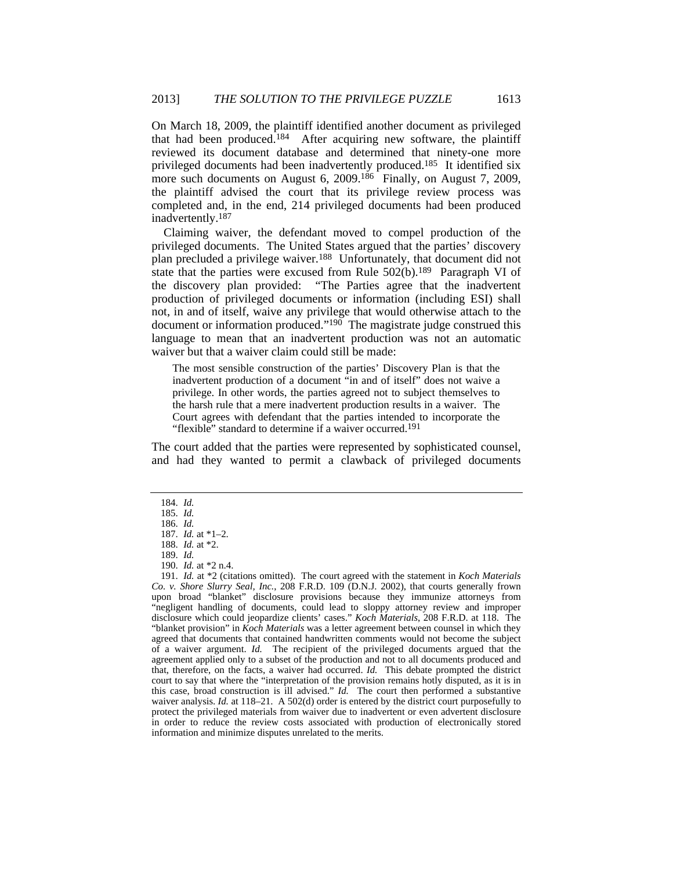On March 18, 2009, the plaintiff identified another document as privileged that had been produced.184 After acquiring new software, the plaintiff reviewed its document database and determined that ninety-one more privileged documents had been inadvertently produced.185 It identified six more such documents on August 6, 2009.<sup>186</sup> Finally, on August 7, 2009, the plaintiff advised the court that its privilege review process was completed and, in the end, 214 privileged documents had been produced inadvertently.187

Claiming waiver, the defendant moved to compel production of the privileged documents. The United States argued that the parties' discovery plan precluded a privilege waiver.188 Unfortunately, that document did not state that the parties were excused from Rule  $502(b)$ .<sup>189</sup> Paragraph VI of the discovery plan provided: "The Parties agree that the inadvertent production of privileged documents or information (including ESI) shall not, in and of itself, waive any privilege that would otherwise attach to the document or information produced."<sup>190</sup> The magistrate judge construed this language to mean that an inadvertent production was not an automatic waiver but that a waiver claim could still be made:

The most sensible construction of the parties' Discovery Plan is that the inadvertent production of a document "in and of itself" does not waive a privilege. In other words, the parties agreed not to subject themselves to the harsh rule that a mere inadvertent production results in a waiver. The Court agrees with defendant that the parties intended to incorporate the "flexible" standard to determine if a waiver occurred.<sup>191</sup>

The court added that the parties were represented by sophisticated counsel, and had they wanted to permit a clawback of privileged documents

 <sup>184.</sup> *Id.*

 <sup>185.</sup> *Id.* 186. *Id.*

 <sup>187.</sup> *Id.* at \*1–2.

 <sup>188.</sup> *Id.* at \*2.

 <sup>189.</sup> *Id.*

 <sup>190.</sup> *Id.* at \*2 n.4.

 <sup>191.</sup> *Id.* at \*2 (citations omitted). The court agreed with the statement in *Koch Materials Co. v. Shore Slurry Seal, Inc.*, 208 F.R.D. 109 (D.N.J. 2002), that courts generally frown upon broad "blanket" disclosure provisions because they immunize attorneys from "negligent handling of documents, could lead to sloppy attorney review and improper disclosure which could jeopardize clients' cases." *Koch Materials*, 208 F.R.D. at 118. The "blanket provision" in *Koch Materials* was a letter agreement between counsel in which they agreed that documents that contained handwritten comments would not become the subject of a waiver argument. *Id.* The recipient of the privileged documents argued that the agreement applied only to a subset of the production and not to all documents produced and that, therefore, on the facts, a waiver had occurred. *Id.* This debate prompted the district court to say that where the "interpretation of the provision remains hotly disputed, as it is in this case, broad construction is ill advised." *Id.* The court then performed a substantive waiver analysis. *Id.* at 118–21. A 502(d) order is entered by the district court purposefully to protect the privileged materials from waiver due to inadvertent or even advertent disclosure in order to reduce the review costs associated with production of electronically stored information and minimize disputes unrelated to the merits.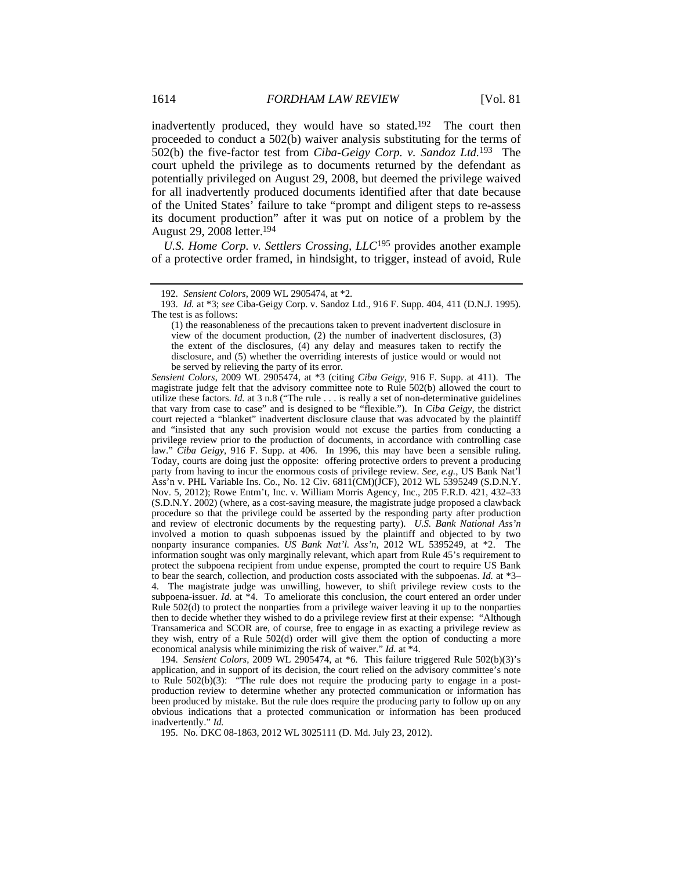inadvertently produced, they would have so stated.192 The court then proceeded to conduct a 502(b) waiver analysis substituting for the terms of 502(b) the five-factor test from *Ciba-Geigy Corp. v. Sandoz Ltd.*193 The court upheld the privilege as to documents returned by the defendant as potentially privileged on August 29, 2008, but deemed the privilege waived for all inadvertently produced documents identified after that date because of the United States' failure to take "prompt and diligent steps to re-assess its document production" after it was put on notice of a problem by the August 29, 2008 letter.194

*U.S. Home Corp. v. Settlers Crossing, LLC*195 provides another example of a protective order framed, in hindsight, to trigger, instead of avoid, Rule

*Sensient Colors*, 2009 WL 2905474, at \*3 (citing *Ciba Geigy*, 916 F. Supp. at 411). The magistrate judge felt that the advisory committee note to Rule 502(b) allowed the court to utilize these factors. *Id.* at 3 n.8 ("The rule . . . is really a set of non-determinative guidelines that vary from case to case" and is designed to be "flexible."). In *Ciba Geigy*, the district court rejected a "blanket" inadvertent disclosure clause that was advocated by the plaintiff and "insisted that any such provision would not excuse the parties from conducting a privilege review prior to the production of documents, in accordance with controlling case law." *Ciba Geigy*, 916 F. Supp. at 406. In 1996, this may have been a sensible ruling. Today, courts are doing just the opposite: offering protective orders to prevent a producing party from having to incur the enormous costs of privilege review. *See, e.g.*, US Bank Nat'l Ass'n v. PHL Variable Ins. Co., No. 12 Civ. 6811(CM)(JCF), 2012 WL 5395249 (S.D.N.Y. Nov. 5, 2012); Rowe Entm't, Inc. v. William Morris Agency, Inc., 205 F.R.D. 421, 432–33 (S.D.N.Y. 2002) (where, as a cost-saving measure, the magistrate judge proposed a clawback procedure so that the privilege could be asserted by the responding party after production and review of electronic documents by the requesting party). *U.S. Bank National Ass'n* involved a motion to quash subpoenas issued by the plaintiff and objected to by two nonparty insurance companies. *US Bank Nat'l. Ass'n*, 2012 WL 5395249, at \*2. The information sought was only marginally relevant, which apart from Rule 45's requirement to protect the subpoena recipient from undue expense, prompted the court to require US Bank to bear the search, collection, and production costs associated with the subpoenas. *Id.* at \*3– 4. The magistrate judge was unwilling, however, to shift privilege review costs to the subpoena-issuer. *Id.* at \*4. To ameliorate this conclusion, the court entered an order under Rule 502(d) to protect the nonparties from a privilege waiver leaving it up to the nonparties then to decide whether they wished to do a privilege review first at their expense: "Although Transamerica and SCOR are, of course, free to engage in as exacting a privilege review as they wish, entry of a Rule 502(d) order will give them the option of conducting a more economical analysis while minimizing the risk of waiver." *Id.* at \*4.

 194. *Sensient Colors*, 2009 WL 2905474, at \*6. This failure triggered Rule 502(b)(3)'s application, and in support of its decision, the court relied on the advisory committee's note to Rule 502(b)(3): "The rule does not require the producing party to engage in a postproduction review to determine whether any protected communication or information has been produced by mistake. But the rule does require the producing party to follow up on any obvious indications that a protected communication or information has been produced inadvertently." *Id.*

195. No. DKC 08-1863, 2012 WL 3025111 (D. Md. July 23, 2012).

 <sup>192.</sup> *Sensient Colors*, 2009 WL 2905474, at \*2.

 <sup>193.</sup> *Id.* at \*3; *see* Ciba-Geigy Corp. v. Sandoz Ltd., 916 F. Supp. 404, 411 (D.N.J. 1995). The test is as follows:

<sup>(1)</sup> the reasonableness of the precautions taken to prevent inadvertent disclosure in view of the document production, (2) the number of inadvertent disclosures, (3) the extent of the disclosures, (4) any delay and measures taken to rectify the disclosure, and (5) whether the overriding interests of justice would or would not be served by relieving the party of its error.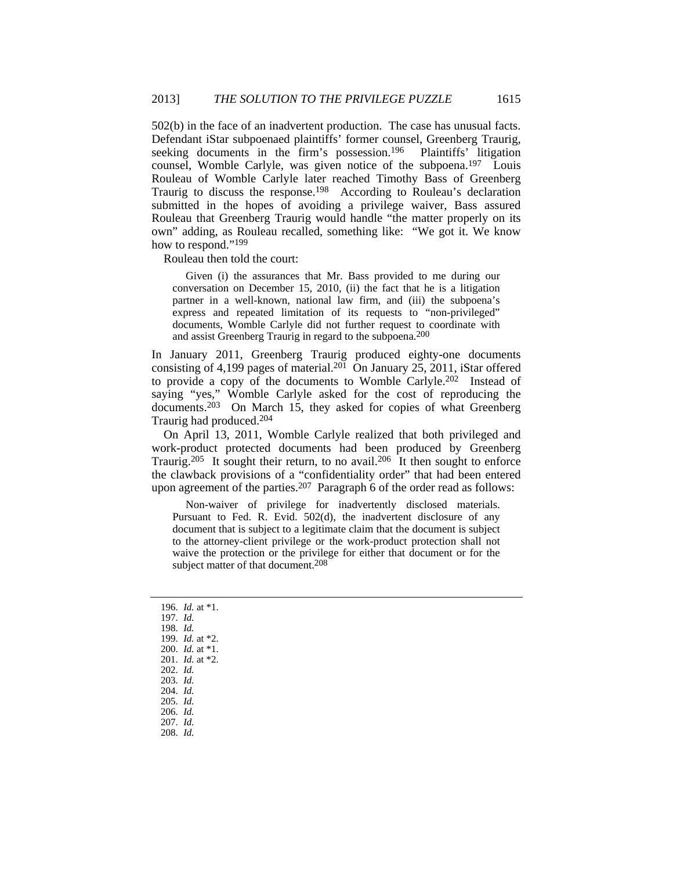502(b) in the face of an inadvertent production. The case has unusual facts. Defendant iStar subpoenaed plaintiffs' former counsel, Greenberg Traurig, seeking documents in the firm's possession.<sup>196</sup> Plaintiffs' litigation counsel, Womble Carlyle, was given notice of the subpoena.197 Louis Rouleau of Womble Carlyle later reached Timothy Bass of Greenberg Traurig to discuss the response.198 According to Rouleau's declaration submitted in the hopes of avoiding a privilege waiver, Bass assured Rouleau that Greenberg Traurig would handle "the matter properly on its own" adding, as Rouleau recalled, something like: "We got it. We know how to respond."199

Rouleau then told the court:

 Given (i) the assurances that Mr. Bass provided to me during our conversation on December 15, 2010, (ii) the fact that he is a litigation partner in a well-known, national law firm, and (iii) the subpoena's express and repeated limitation of its requests to "non-privileged" documents, Womble Carlyle did not further request to coordinate with and assist Greenberg Traurig in regard to the subpoena.200

In January 2011, Greenberg Traurig produced eighty-one documents consisting of 4,199 pages of material.<sup>201</sup> On January 25, 2011, iStar offered to provide a copy of the documents to Womble Carlyle.202 Instead of saying "yes," Womble Carlyle asked for the cost of reproducing the documents.203 On March 15, they asked for copies of what Greenberg Traurig had produced.204

On April 13, 2011, Womble Carlyle realized that both privileged and work-product protected documents had been produced by Greenberg Traurig.<sup>205</sup> It sought their return, to no avail.<sup>206</sup> It then sought to enforce the clawback provisions of a "confidentiality order" that had been entered upon agreement of the parties.<sup>207</sup> Paragraph 6 of the order read as follows:

 Non-waiver of privilege for inadvertently disclosed materials. Pursuant to Fed. R. Evid. 502(d), the inadvertent disclosure of any document that is subject to a legitimate claim that the document is subject to the attorney-client privilege or the work-product protection shall not waive the protection or the privilege for either that document or for the subject matter of that document.<sup>208</sup>

 196. *Id.* at \*1. 197. *Id.* 198. *Id.* 199. *Id.* at \*2. 200. *Id.* at \*1. 201. *Id.* at \*2. 202. *Id.* 203. *Id.* 204. *Id.* 205. *Id.* 206. *Id.* 207. *Id.* 208. *Id.*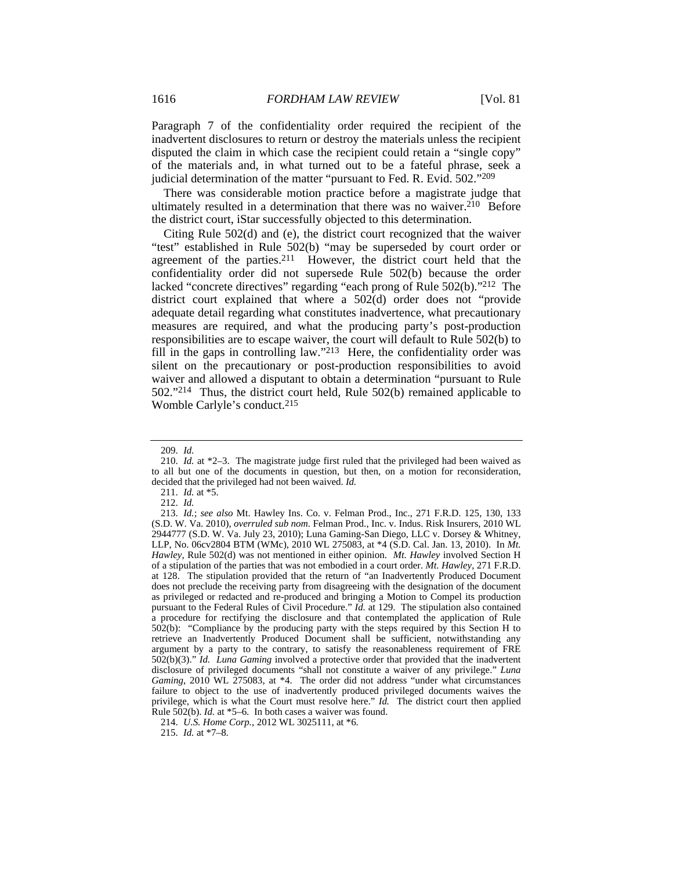Paragraph 7 of the confidentiality order required the recipient of the inadvertent disclosures to return or destroy the materials unless the recipient disputed the claim in which case the recipient could retain a "single copy" of the materials and, in what turned out to be a fateful phrase, seek a judicial determination of the matter "pursuant to Fed. R. Evid. 502."209

There was considerable motion practice before a magistrate judge that ultimately resulted in a determination that there was no waiver.<sup>210</sup> Before the district court, iStar successfully objected to this determination.

Citing Rule 502(d) and (e), the district court recognized that the waiver "test" established in Rule 502(b) "may be superseded by court order or agreement of the parties.211 However, the district court held that the confidentiality order did not supersede Rule 502(b) because the order lacked "concrete directives" regarding "each prong of Rule 502(b)."212 The district court explained that where a 502(d) order does not "provide adequate detail regarding what constitutes inadvertence, what precautionary measures are required, and what the producing party's post-production responsibilities are to escape waiver, the court will default to Rule 502(b) to fill in the gaps in controlling law."<sup>213</sup> Here, the confidentiality order was silent on the precautionary or post-production responsibilities to avoid waiver and allowed a disputant to obtain a determination "pursuant to Rule 502."214 Thus, the district court held, Rule 502(b) remained applicable to Womble Carlyle's conduct.215

 <sup>209.</sup> *Id.*

 <sup>210.</sup> *Id.* at \*2–3. The magistrate judge first ruled that the privileged had been waived as to all but one of the documents in question, but then, on a motion for reconsideration, decided that the privileged had not been waived. *Id.*

 <sup>211.</sup> *Id.* at \*5.

 <sup>212.</sup> *Id.*

 <sup>213.</sup> *Id.*; *see also* Mt. Hawley Ins. Co. v. Felman Prod., Inc., 271 F.R.D. 125, 130, 133 (S.D. W. Va. 2010), *overruled sub nom.* Felman Prod., Inc. v. Indus. Risk Insurers, 2010 WL 2944777 (S.D. W. Va. July 23, 2010); Luna Gaming-San Diego, LLC v. Dorsey & Whitney, LLP, No. 06cv2804 BTM (WMc), 2010 WL 275083, at \*4 (S.D. Cal. Jan. 13, 2010). In *Mt. Hawley*, Rule 502(d) was not mentioned in either opinion. *Mt. Hawley* involved Section H of a stipulation of the parties that was not embodied in a court order. *Mt. Hawley*, 271 F.R.D. at 128. The stipulation provided that the return of "an Inadvertently Produced Document does not preclude the receiving party from disagreeing with the designation of the document as privileged or redacted and re-produced and bringing a Motion to Compel its production pursuant to the Federal Rules of Civil Procedure." *Id.* at 129. The stipulation also contained a procedure for rectifying the disclosure and that contemplated the application of Rule 502(b): "Compliance by the producing party with the steps required by this Section H to retrieve an Inadvertently Produced Document shall be sufficient, notwithstanding any argument by a party to the contrary, to satisfy the reasonableness requirement of FRE 502(b)(3)." *Id. Luna Gaming* involved a protective order that provided that the inadvertent disclosure of privileged documents "shall not constitute a waiver of any privilege." *Luna Gaming*, 2010 WL 275083, at \*4. The order did not address "under what circumstances failure to object to the use of inadvertently produced privileged documents waives the privilege, which is what the Court must resolve here." *Id.* The district court then applied Rule 502(b). *Id.* at \*5–6. In both cases a waiver was found.

 <sup>214.</sup> *U.S. Home Corp.*, 2012 WL 3025111, at \*6.

 <sup>215.</sup> *Id.* at \*7–8.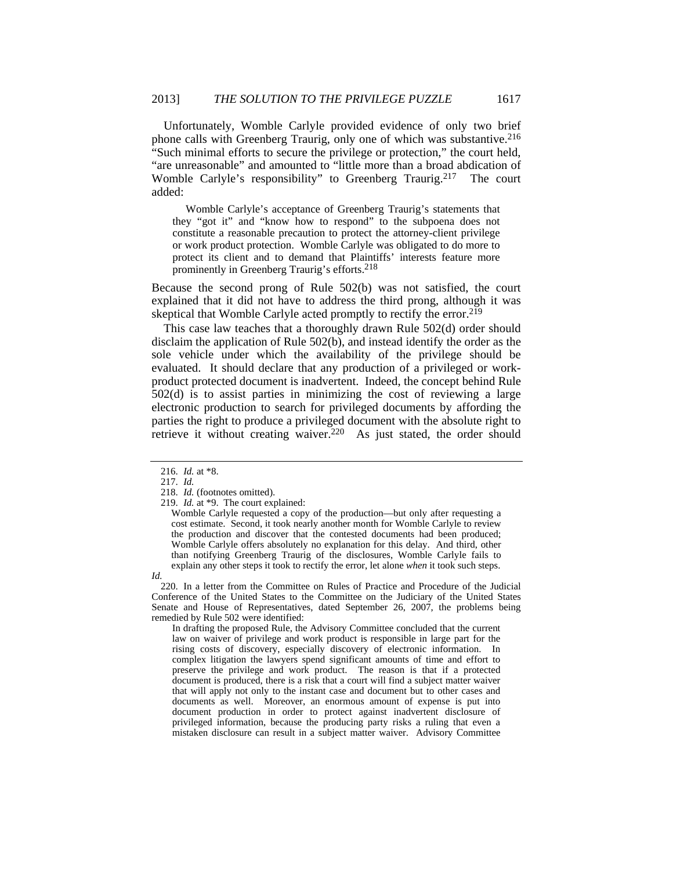Unfortunately, Womble Carlyle provided evidence of only two brief phone calls with Greenberg Traurig, only one of which was substantive.216 "Such minimal efforts to secure the privilege or protection," the court held, "are unreasonable" and amounted to "little more than a broad abdication of Womble Carlyle's responsibility" to Greenberg Traurig.217 The court added:

 Womble Carlyle's acceptance of Greenberg Traurig's statements that they "got it" and "know how to respond" to the subpoena does not constitute a reasonable precaution to protect the attorney-client privilege or work product protection. Womble Carlyle was obligated to do more to protect its client and to demand that Plaintiffs' interests feature more prominently in Greenberg Traurig's efforts.218

Because the second prong of Rule 502(b) was not satisfied, the court explained that it did not have to address the third prong, although it was skeptical that Womble Carlyle acted promptly to rectify the error.<sup>219</sup>

This case law teaches that a thoroughly drawn Rule 502(d) order should disclaim the application of Rule 502(b), and instead identify the order as the sole vehicle under which the availability of the privilege should be evaluated. It should declare that any production of a privileged or workproduct protected document is inadvertent. Indeed, the concept behind Rule 502(d) is to assist parties in minimizing the cost of reviewing a large electronic production to search for privileged documents by affording the parties the right to produce a privileged document with the absolute right to retrieve it without creating waiver.220 As just stated, the order should

Womble Carlyle requested a copy of the production—but only after requesting a cost estimate. Second, it took nearly another month for Womble Carlyle to review the production and discover that the contested documents had been produced; Womble Carlyle offers absolutely no explanation for this delay. And third, other than notifying Greenberg Traurig of the disclosures, Womble Carlyle fails to explain any other steps it took to rectify the error, let alone *when* it took such steps.

*Id.*

 220. In a letter from the Committee on Rules of Practice and Procedure of the Judicial Conference of the United States to the Committee on the Judiciary of the United States Senate and House of Representatives, dated September 26, 2007, the problems being remedied by Rule 502 were identified:

In drafting the proposed Rule, the Advisory Committee concluded that the current law on waiver of privilege and work product is responsible in large part for the rising costs of discovery, especially discovery of electronic information. In complex litigation the lawyers spend significant amounts of time and effort to preserve the privilege and work product. The reason is that if a protected document is produced, there is a risk that a court will find a subject matter waiver that will apply not only to the instant case and document but to other cases and documents as well. Moreover, an enormous amount of expense is put into document production in order to protect against inadvertent disclosure of privileged information, because the producing party risks a ruling that even a mistaken disclosure can result in a subject matter waiver. Advisory Committee

 <sup>216.</sup> *Id.* at \*8.

 <sup>217.</sup> *Id.*

 <sup>218.</sup> *Id.* (footnotes omitted).

 <sup>219.</sup> *Id.* at \*9. The court explained: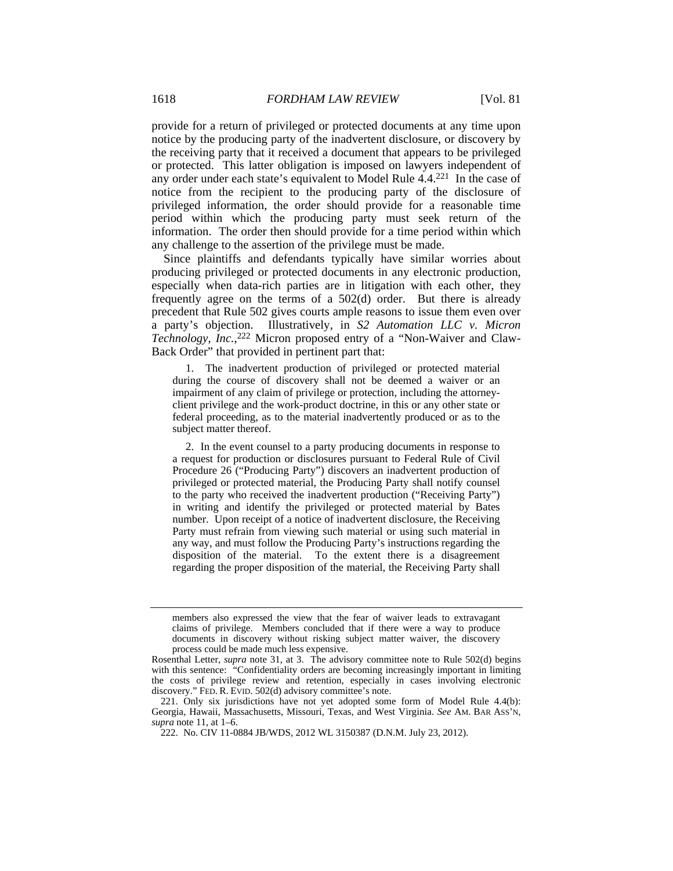provide for a return of privileged or protected documents at any time upon notice by the producing party of the inadvertent disclosure, or discovery by the receiving party that it received a document that appears to be privileged or protected. This latter obligation is imposed on lawyers independent of any order under each state's equivalent to Model Rule 4.4.221 In the case of notice from the recipient to the producing party of the disclosure of privileged information, the order should provide for a reasonable time period within which the producing party must seek return of the information. The order then should provide for a time period within which any challenge to the assertion of the privilege must be made.

Since plaintiffs and defendants typically have similar worries about producing privileged or protected documents in any electronic production, especially when data-rich parties are in litigation with each other, they frequently agree on the terms of a 502(d) order. But there is already precedent that Rule 502 gives courts ample reasons to issue them even over a party's objection. Illustratively, in *S2 Automation LLC v. Micron Technology, Inc.*, 222 Micron proposed entry of a "Non-Waiver and Claw-Back Order" that provided in pertinent part that:

 1. The inadvertent production of privileged or protected material during the course of discovery shall not be deemed a waiver or an impairment of any claim of privilege or protection, including the attorneyclient privilege and the work-product doctrine, in this or any other state or federal proceeding, as to the material inadvertently produced or as to the subject matter thereof.

 2. In the event counsel to a party producing documents in response to a request for production or disclosures pursuant to Federal Rule of Civil Procedure 26 ("Producing Party") discovers an inadvertent production of privileged or protected material, the Producing Party shall notify counsel to the party who received the inadvertent production ("Receiving Party") in writing and identify the privileged or protected material by Bates number. Upon receipt of a notice of inadvertent disclosure, the Receiving Party must refrain from viewing such material or using such material in any way, and must follow the Producing Party's instructions regarding the disposition of the material. To the extent there is a disagreement regarding the proper disposition of the material, the Receiving Party shall

members also expressed the view that the fear of waiver leads to extravagant claims of privilege. Members concluded that if there were a way to produce documents in discovery without risking subject matter waiver, the discovery process could be made much less expensive.

Rosenthal Letter, *supra* note 31, at 3. The advisory committee note to Rule 502(d) begins with this sentence: "Confidentiality orders are becoming increasingly important in limiting the costs of privilege review and retention, especially in cases involving electronic discovery." FED. R. EVID. 502(d) advisory committee's note.

 <sup>221.</sup> Only six jurisdictions have not yet adopted some form of Model Rule 4.4(b): Georgia, Hawaii, Massachusetts, Missouri, Texas, and West Virginia. *See* AM. BAR ASS'N, *supra* note 11, at 1–6.

 <sup>222.</sup> No. CIV 11-0884 JB/WDS, 2012 WL 3150387 (D.N.M. July 23, 2012).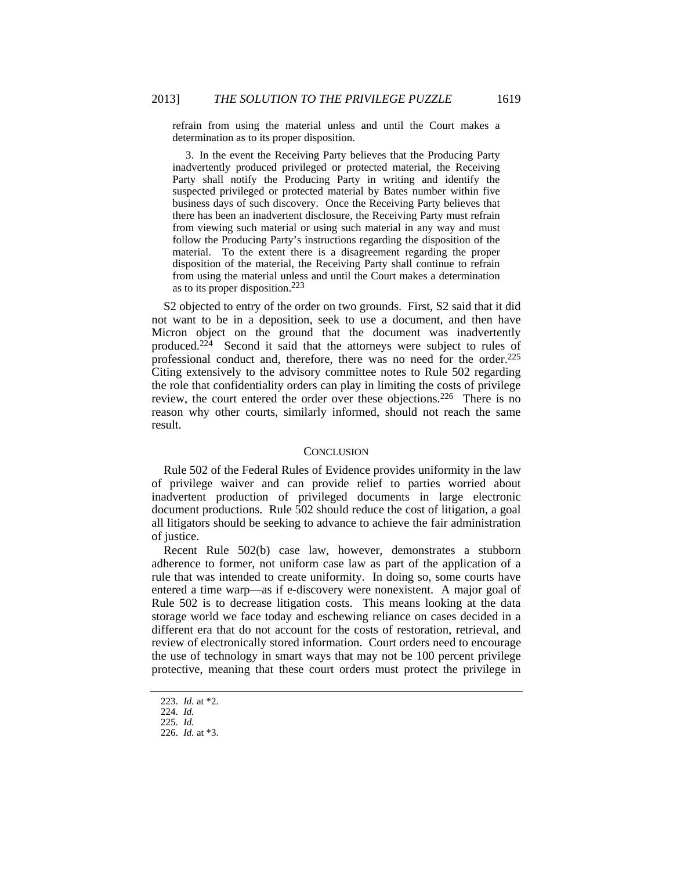refrain from using the material unless and until the Court makes a determination as to its proper disposition.

 3. In the event the Receiving Party believes that the Producing Party inadvertently produced privileged or protected material, the Receiving Party shall notify the Producing Party in writing and identify the suspected privileged or protected material by Bates number within five business days of such discovery. Once the Receiving Party believes that there has been an inadvertent disclosure, the Receiving Party must refrain from viewing such material or using such material in any way and must follow the Producing Party's instructions regarding the disposition of the material. To the extent there is a disagreement regarding the proper disposition of the material, the Receiving Party shall continue to refrain from using the material unless and until the Court makes a determination as to its proper disposition.223

S2 objected to entry of the order on two grounds. First, S2 said that it did not want to be in a deposition, seek to use a document, and then have Micron object on the ground that the document was inadvertently produced.224 Second it said that the attorneys were subject to rules of professional conduct and, therefore, there was no need for the order.225 Citing extensively to the advisory committee notes to Rule 502 regarding the role that confidentiality orders can play in limiting the costs of privilege review, the court entered the order over these objections.226 There is no reason why other courts, similarly informed, should not reach the same result.

#### **CONCLUSION**

Rule 502 of the Federal Rules of Evidence provides uniformity in the law of privilege waiver and can provide relief to parties worried about inadvertent production of privileged documents in large electronic document productions. Rule 502 should reduce the cost of litigation, a goal all litigators should be seeking to advance to achieve the fair administration of justice.

Recent Rule 502(b) case law, however, demonstrates a stubborn adherence to former, not uniform case law as part of the application of a rule that was intended to create uniformity. In doing so, some courts have entered a time warp—as if e-discovery were nonexistent. A major goal of Rule 502 is to decrease litigation costs. This means looking at the data storage world we face today and eschewing reliance on cases decided in a different era that do not account for the costs of restoration, retrieval, and review of electronically stored information. Court orders need to encourage the use of technology in smart ways that may not be 100 percent privilege protective, meaning that these court orders must protect the privilege in

 <sup>223.</sup> *Id.* at \*2.

 <sup>224.</sup> *Id.*

 <sup>225.</sup> *Id.*

 <sup>226.</sup> *Id.* at \*3.